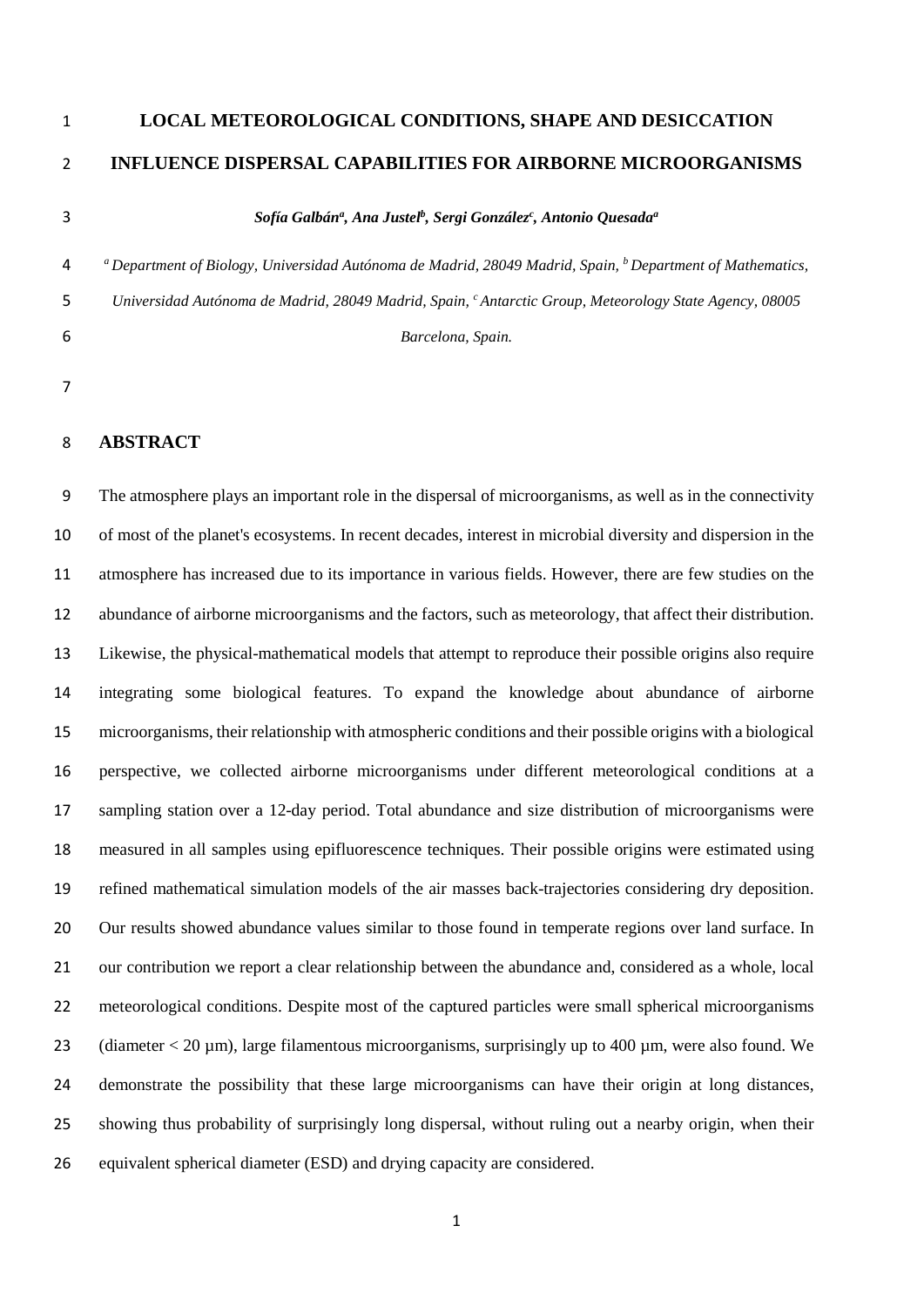# **LOCAL METEOROLOGICAL CONDITIONS, SHAPE AND DESICCATION INFLUENCE DISPERSAL CAPABILITIES FOR AIRBORNE MICROORGANISMS**

#### 3 **3** *Sofía Galbán<sup>a</sup>, Ana Justel<sup>b</sup>, Sergi González<sup>c</sup>, Antonio Quesada<sup>a</sup>*

*<sup>a</sup> Department of Biology, Universidad Autónoma de Madrid, 28049 Madrid, Spain, <sup>b</sup> Department of Mathematics, Universidad Autónoma de Madrid, 28049 Madrid, Spain, c Antarctic Group, Meteorology State Agency, 08005 Barcelona, Spain.*

## **ABSTRACT**

 The atmosphere plays an important role in the dispersal of microorganisms, as well as in the connectivity of most of the planet's ecosystems. In recent decades, interest in microbial diversity and dispersion in the atmosphere has increased due to its importance in various fields. However, there are few studies on the abundance of airborne microorganisms and the factors, such as meteorology, that affect their distribution. Likewise, the physical-mathematical models that attempt to reproduce their possible origins also require integrating some biological features. To expand the knowledge about abundance of airborne microorganisms, their relationship with atmospheric conditions and their possible origins with a biological perspective, we collected airborne microorganisms under different meteorological conditions at a sampling station over a 12-day period. Total abundance and size distribution of microorganisms were measured in all samples using epifluorescence techniques. Their possible origins were estimated using refined mathematical simulation models of the air masses back-trajectories considering dry deposition. Our results showed abundance values similar to those found in temperate regions over land surface. In our contribution we report a clear relationship between the abundance and, considered as a whole, local meteorological conditions. Despite most of the captured particles were small spherical microorganisms 23 (diameter < 20 um), large filamentous microorganisms, surprisingly up to 400 um, were also found. We demonstrate the possibility that these large microorganisms can have their origin at long distances, showing thus probability of surprisingly long dispersal, without ruling out a nearby origin, when their equivalent spherical diameter (ESD) and drying capacity are considered.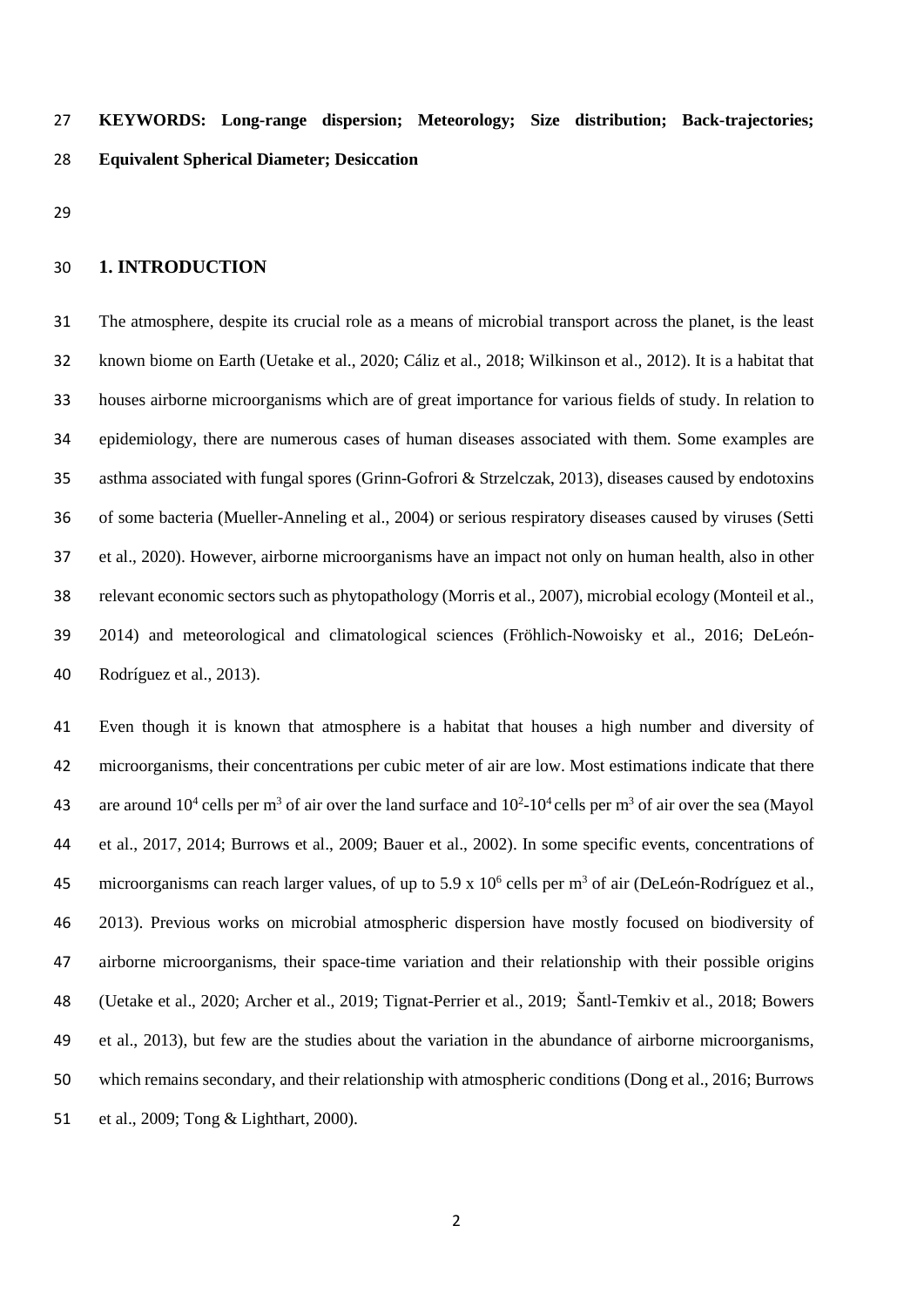**KEYWORDS: Long-range dispersion; Meteorology; Size distribution; Back-trajectories; Equivalent Spherical Diameter; Desiccation**

## **1. INTRODUCTION**

 The atmosphere, despite its crucial role as a means of microbial transport across the planet, is the least known biome on Earth (Uetake et al., 2020; Cáliz et al., 2018; Wilkinson et al., 2012). It is a habitat that houses airborne microorganisms which are of great importance for various fields of study. In relation to epidemiology, there are numerous cases of human diseases associated with them. Some examples are asthma associated with fungal spores (Grinn-Gofrori & Strzelczak, 2013), diseases caused by endotoxins of some bacteria (Mueller-Anneling et al., 2004) or serious respiratory diseases caused by viruses (Setti et al., 2020). However, airborne microorganisms have an impact not only on human health, also in other relevant economic sectors such as phytopathology (Morris et al., 2007), microbial ecology (Monteil et al., 2014) and meteorological and climatological sciences (Fröhlich-Nowoisky et al., 2016; DeLeón-Rodríguez et al., 2013).

 Even though it is known that atmosphere is a habitat that houses a high number and diversity of microorganisms, their concentrations per cubic meter of air are low. Most estimations indicate that there 43 are around  $10^4$  cells per m<sup>3</sup> of air over the land surface and  $10^2$ -10<sup>4</sup> cells per m<sup>3</sup> of air over the sea (Mayol) et al., 2017, 2014; Burrows et al., 2009; Bauer et al., 2002). In some specific events, concentrations of 45 microorganisms can reach larger values, of up to 5.9 x  $10^6$  cells per m<sup>3</sup> of air (DeLeón-Rodríguez et al., 2013). Previous works on microbial atmospheric dispersion have mostly focused on biodiversity of airborne microorganisms, their space-time variation and their relationship with their possible origins (Uetake et al., 2020; Archer et al., 2019; Tignat-Perrier et al., 2019; Šantl-Temkiv et al., 2018; Bowers et al., 2013), but few are the studies about the variation in the abundance of airborne microorganisms, which remains secondary, and their relationship with atmospheric conditions (Dong et al., 2016; Burrows et al., 2009; Tong & Lighthart, 2000).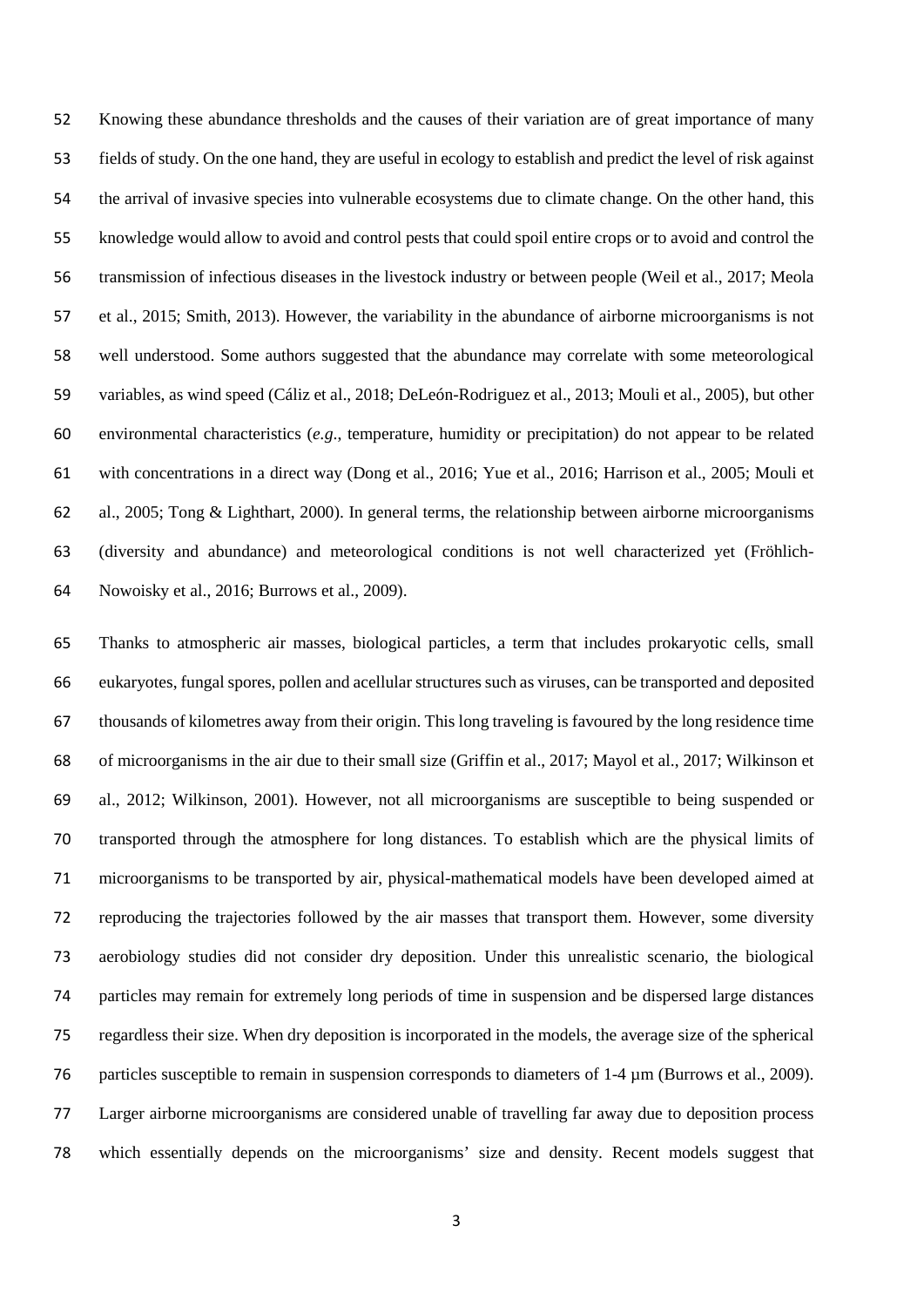Knowing these abundance thresholds and the causes of their variation are of great importance of many fields of study. On the one hand, they are useful in ecology to establish and predict the level of risk against the arrival of invasive species into vulnerable ecosystems due to climate change. On the other hand, this knowledge would allow to avoid and control pests that could spoil entire crops or to avoid and control the transmission of infectious diseases in the livestock industry or between people (Weil et al., 2017; Meola et al., 2015; Smith, 2013). However, the variability in the abundance of airborne microorganisms is not well understood. Some authors suggested that the abundance may correlate with some meteorological variables, as wind speed (Cáliz et al., 2018; DeLeón-Rodriguez et al., 2013; Mouli et al., 2005), but other environmental characteristics (*e.g*., temperature, humidity or precipitation) do not appear to be related with concentrations in a direct way (Dong et al., 2016; Yue et al., 2016; Harrison et al., 2005; Mouli et al., 2005; Tong & Lighthart, 2000). In general terms, the relationship between airborne microorganisms (diversity and abundance) and meteorological conditions is not well characterized yet (Fröhlich-Nowoisky et al., 2016; Burrows et al., 2009).

 Thanks to atmospheric air masses, biological particles, a term that includes prokaryotic cells, small eukaryotes, fungal spores, pollen and acellular structures such as viruses, can be transported and deposited thousands of kilometres away from their origin. This long traveling is favoured by the long residence time of microorganisms in the air due to their small size (Griffin et al., 2017; Mayol et al., 2017; Wilkinson et al., 2012; Wilkinson, 2001). However, not all microorganisms are susceptible to being suspended or transported through the atmosphere for long distances. To establish which are the physical limits of microorganisms to be transported by air, physical-mathematical models have been developed aimed at reproducing the trajectories followed by the air masses that transport them. However, some diversity aerobiology studies did not consider dry deposition. Under this unrealistic scenario, the biological particles may remain for extremely long periods of time in suspension and be dispersed large distances regardless their size. When dry deposition is incorporated in the models, the average size of the spherical 76 particles susceptible to remain in suspension corresponds to diameters of 1-4  $\mu$ m (Burrows et al., 2009). Larger airborne microorganisms are considered unable of travelling far away due to deposition process which essentially depends on the microorganisms' size and density. Recent models suggest that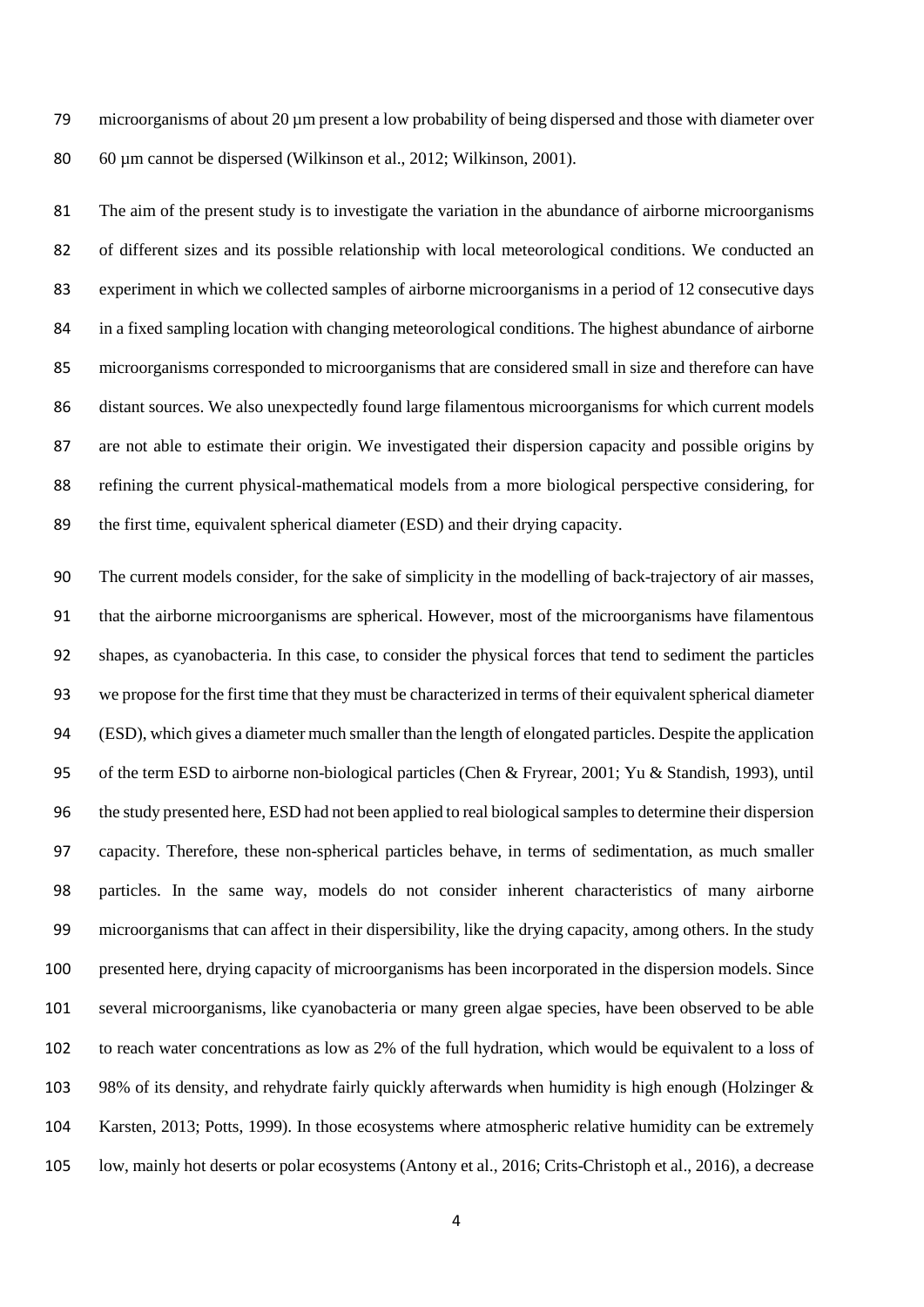microorganisms of about 20 µm present a low probability of being dispersed and those with diameter over 60 µm cannot be dispersed (Wilkinson et al., 2012; Wilkinson, 2001).

 The aim of the present study is to investigate the variation in the abundance of airborne microorganisms of different sizes and its possible relationship with local meteorological conditions. We conducted an experiment in which we collected samples of airborne microorganisms in a period of 12 consecutive days in a fixed sampling location with changing meteorological conditions. The highest abundance of airborne microorganisms corresponded to microorganisms that are considered small in size and therefore can have distant sources. We also unexpectedly found large filamentous microorganisms for which current models are not able to estimate their origin. We investigated their dispersion capacity and possible origins by refining the current physical-mathematical models from a more biological perspective considering, for the first time, equivalent spherical diameter (ESD) and their drying capacity.

 The current models consider, for the sake of simplicity in the modelling of back-trajectory of air masses, that the airborne microorganisms are spherical. However, most of the microorganisms have filamentous shapes, as cyanobacteria. In this case, to consider the physical forces that tend to sediment the particles we propose for the first time that they must be characterized in terms of their equivalent spherical diameter (ESD), which gives a diameter much smaller than the length of elongated particles. Despite the application of the term ESD to airborne non-biological particles (Chen & Fryrear, 2001; Yu & Standish, 1993), until the study presented here, ESD had not been applied to real biological samples to determine their dispersion capacity. Therefore, these non-spherical particles behave, in terms of sedimentation, as much smaller particles. In the same way, models do not consider inherent characteristics of many airborne microorganisms that can affect in their dispersibility, like the drying capacity, among others. In the study presented here, drying capacity of microorganisms has been incorporated in the dispersion models. Since several microorganisms, like cyanobacteria or many green algae species, have been observed to be able to reach water concentrations as low as 2% of the full hydration, which would be equivalent to a loss of 98% of its density, and rehydrate fairly quickly afterwards when humidity is high enough (Holzinger & Karsten, 2013; Potts, 1999). In those ecosystems where atmospheric relative humidity can be extremely low, mainly hot deserts or polar ecosystems (Antony et al., 2016; Crits-Christoph et al., 2016), a decrease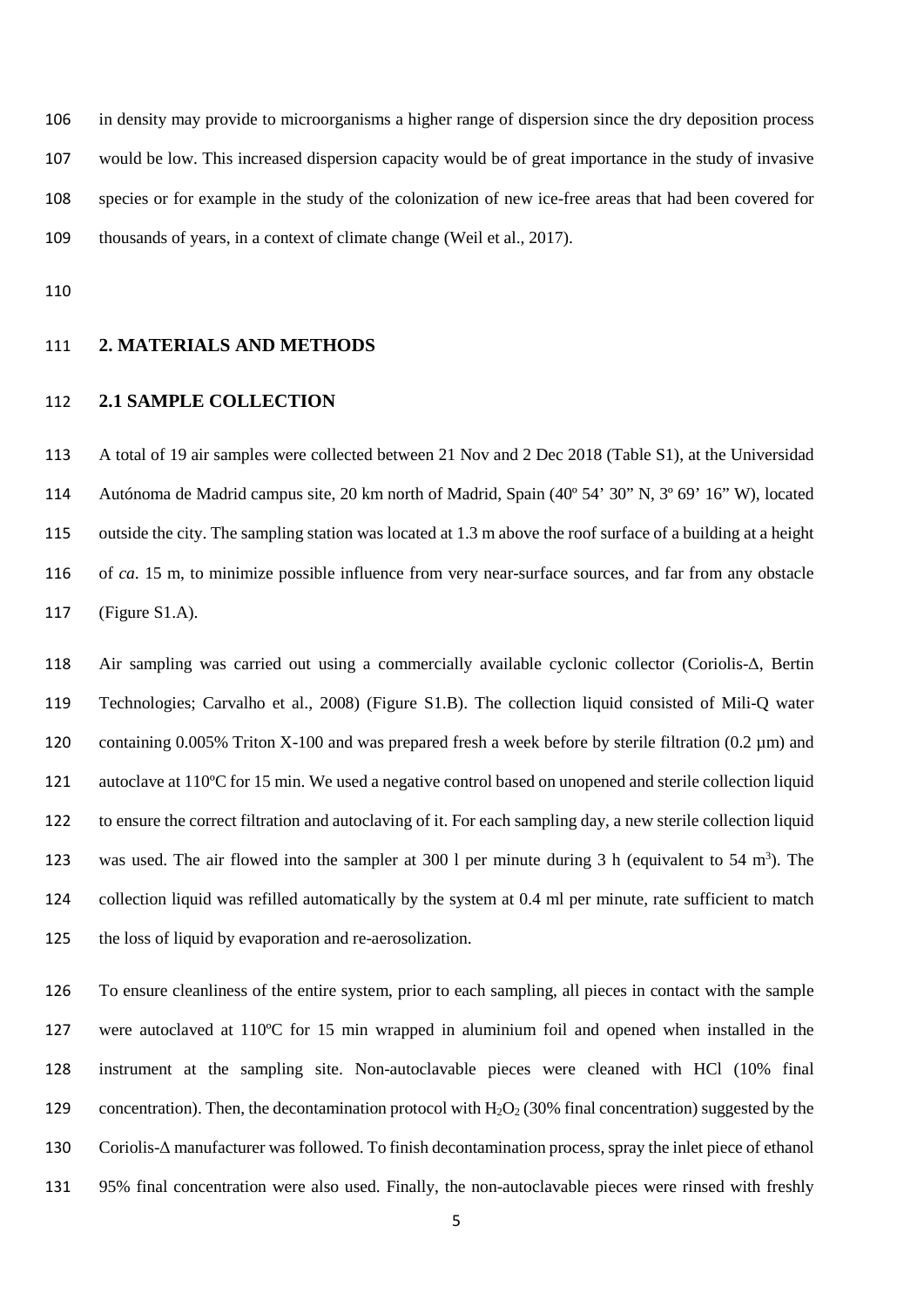in density may provide to microorganisms a higher range of dispersion since the dry deposition process would be low. This increased dispersion capacity would be of great importance in the study of invasive species or for example in the study of the colonization of new ice-free areas that had been covered for thousands of years, in a context of climate change (Weil et al., 2017).

#### **2. MATERIALS AND METHODS**

## **2.1 SAMPLE COLLECTION**

 A total of 19 air samples were collected between 21 Nov and 2 Dec 2018 (Table S1), at the Universidad Autónoma de Madrid campus site, 20 km north of Madrid, Spain (40º 54' 30" N, 3º 69' 16" W), located outside the city. The sampling station was located at 1.3 m above the roof surface of a building at a height of *ca*. 15 m, to minimize possible influence from very near-surface sources, and far from any obstacle (Figure S1.A).

 Air sampling was carried out using a commercially available cyclonic collector (Coriolis-Δ, Bertin Technologies; Carvalho et al., 2008) (Figure S1.B). The collection liquid consisted of Mili-Q water containing 0.005% Triton X-100 and was prepared fresh a week before by sterile filtration (0.2 µm) and autoclave at 110ºC for 15 min. We used a negative control based on unopened and sterile collection liquid to ensure the correct filtration and autoclaving of it. For each sampling day, a new sterile collection liquid 123 was used. The air flowed into the sampler at 300 l per minute during 3 h (equivalent to 54 m<sup>3</sup>). The collection liquid was refilled automatically by the system at 0.4 ml per minute, rate sufficient to match the loss of liquid by evaporation and re-aerosolization.

 To ensure cleanliness of the entire system, prior to each sampling, all pieces in contact with the sample were autoclaved at 110ºC for 15 min wrapped in aluminium foil and opened when installed in the instrument at the sampling site. Non-autoclavable pieces were cleaned with HCl (10% final 129 concentration). Then, the decontamination protocol with  $H_2O_2$  (30% final concentration) suggested by the Coriolis-Δ manufacturer was followed. To finish decontamination process, spray the inlet piece of ethanol 95% final concentration were also used. Finally, the non-autoclavable pieces were rinsed with freshly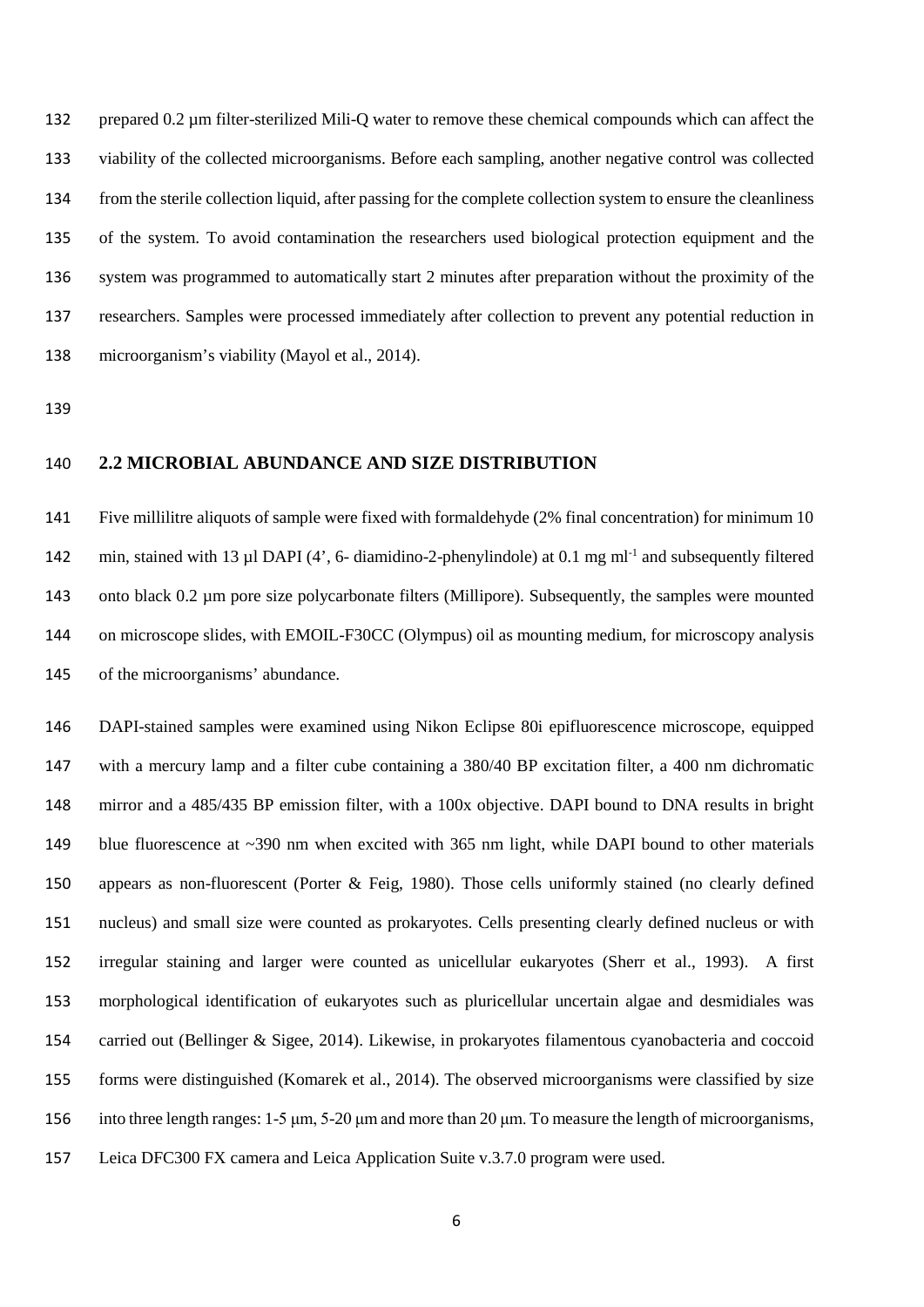prepared 0.2 µm filter-sterilized Mili-Q water to remove these chemical compounds which can affect the viability of the collected microorganisms. Before each sampling, another negative control was collected from the sterile collection liquid, after passing for the complete collection system to ensure the cleanliness of the system. To avoid contamination the researchers used biological protection equipment and the system was programmed to automatically start 2 minutes after preparation without the proximity of the researchers. Samples were processed immediately after collection to prevent any potential reduction in microorganism's viability (Mayol et al., 2014).

#### **2.2 MICROBIAL ABUNDANCE AND SIZE DISTRIBUTION**

 Five millilitre aliquots of sample were fixed with formaldehyde (2% final concentration) for minimum 10 142 min, stained with 13 ul DAPI (4', 6- diamidino-2-phenylindole) at 0.1 mg ml<sup>-1</sup> and subsequently filtered onto black 0.2 µm pore size polycarbonate filters (Millipore). Subsequently, the samples were mounted on microscope slides, with EMOIL-F30CC (Olympus) oil as mounting medium, for microscopy analysis of the microorganisms' abundance.

 DAPI-stained samples were examined using Nikon Eclipse 80i epifluorescence microscope, equipped with a mercury lamp and a filter cube containing a 380/40 BP excitation filter, a 400 nm dichromatic mirror and a 485/435 BP emission filter, with a 100x objective. DAPI bound to DNA results in bright 149 blue fluorescence at ~390 nm when excited with 365 nm light, while DAPI bound to other materials appears as non-fluorescent (Porter & Feig, 1980). Those cells uniformly stained (no clearly defined nucleus) and small size were counted as prokaryotes. Cells presenting clearly defined nucleus or with irregular staining and larger were counted as unicellular eukaryotes (Sherr et al., 1993). A first morphological identification of eukaryotes such as pluricellular uncertain algae and desmidiales was carried out (Bellinger & Sigee, 2014). Likewise, in prokaryotes filamentous cyanobacteria and coccoid forms were distinguished (Komarek et al., 2014). The observed microorganisms were classified by size into three length ranges: 1-5 μm, 5-20 μm and more than 20 μm. To measure the length of microorganisms, Leica DFC300 FX camera and Leica Application Suite v.3.7.0 program were used.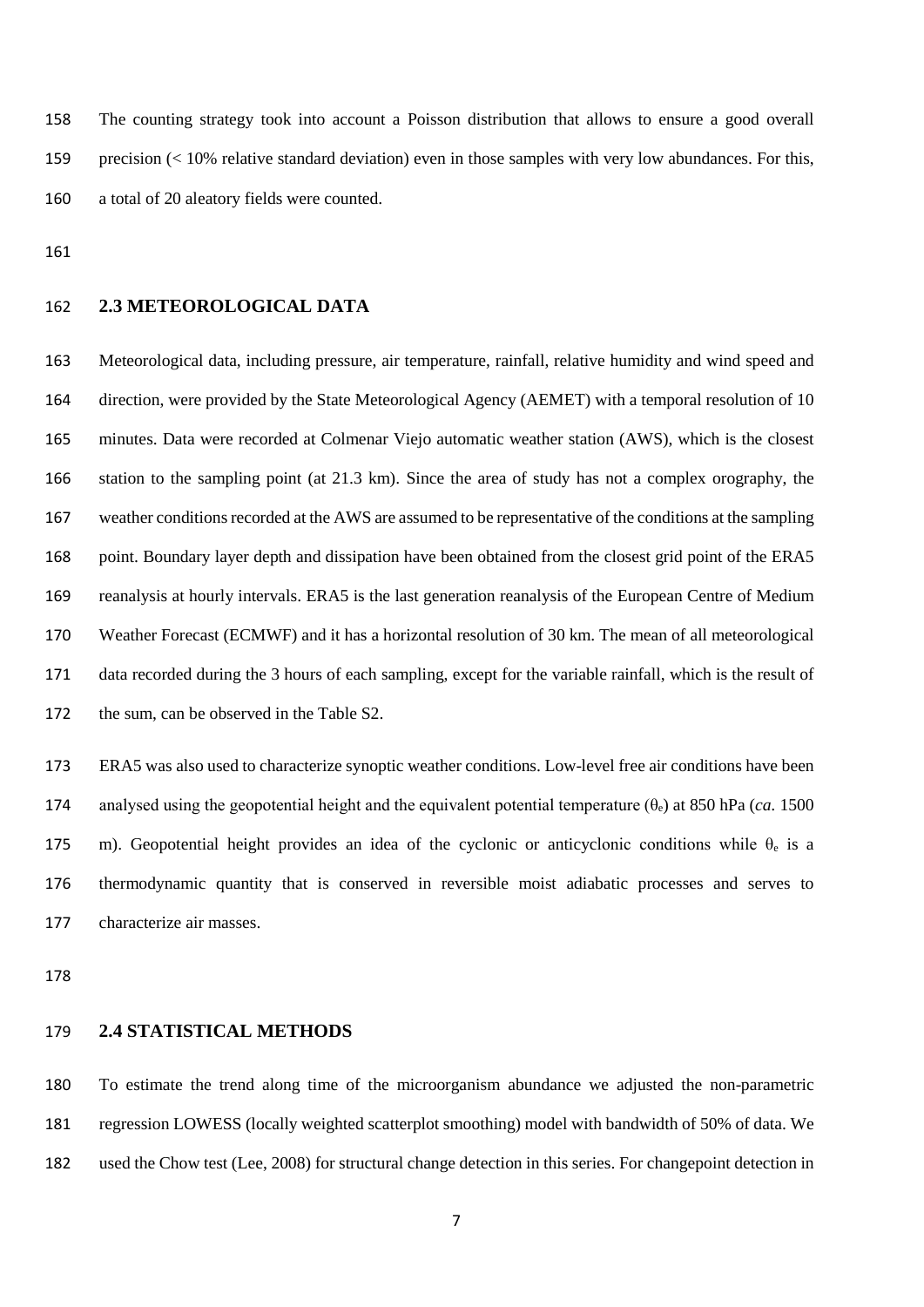The counting strategy took into account a Poisson distribution that allows to ensure a good overall precision (< 10% relative standard deviation) even in those samples with very low abundances. For this, a total of 20 aleatory fields were counted.

## **2.3 METEOROLOGICAL DATA**

 Meteorological data, including pressure, air temperature, rainfall, relative humidity and wind speed and direction, were provided by the State Meteorological Agency (AEMET) with a temporal resolution of 10 minutes. Data were recorded at Colmenar Viejo automatic weather station (AWS), which is the closest station to the sampling point (at 21.3 km). Since the area of study has not a complex orography, the weather conditions recorded at the AWS are assumed to be representative of the conditions at the sampling 168 point. Boundary layer depth and dissipation have been obtained from the closest grid point of the ERA5 reanalysis at hourly intervals. ERA5 is the last generation reanalysis of the European Centre of Medium Weather Forecast (ECMWF) and it has a horizontal resolution of 30 km. The mean of all meteorological data recorded during the 3 hours of each sampling, except for the variable rainfall, which is the result of the sum, can be observed in the Table S2.

 ERA5 was also used to characterize synoptic weather conditions. Low-level free air conditions have been 174 analysed using the geopotential height and the equivalent potential temperature  $(\theta_e)$  at 850 hPa (*ca.* 1500) 175 m). Geopotential height provides an idea of the cyclonic or anticyclonic conditions while  $\theta_e$  is a thermodynamic quantity that is conserved in reversible moist adiabatic processes and serves to characterize air masses.

## **2.4 STATISTICAL METHODS**

 To estimate the trend along time of the microorganism abundance we adjusted the non-parametric regression LOWESS (locally weighted scatterplot smoothing) model with bandwidth of 50% of data. We used the Chow test (Lee, 2008) for structural change detection in this series. For changepoint detection in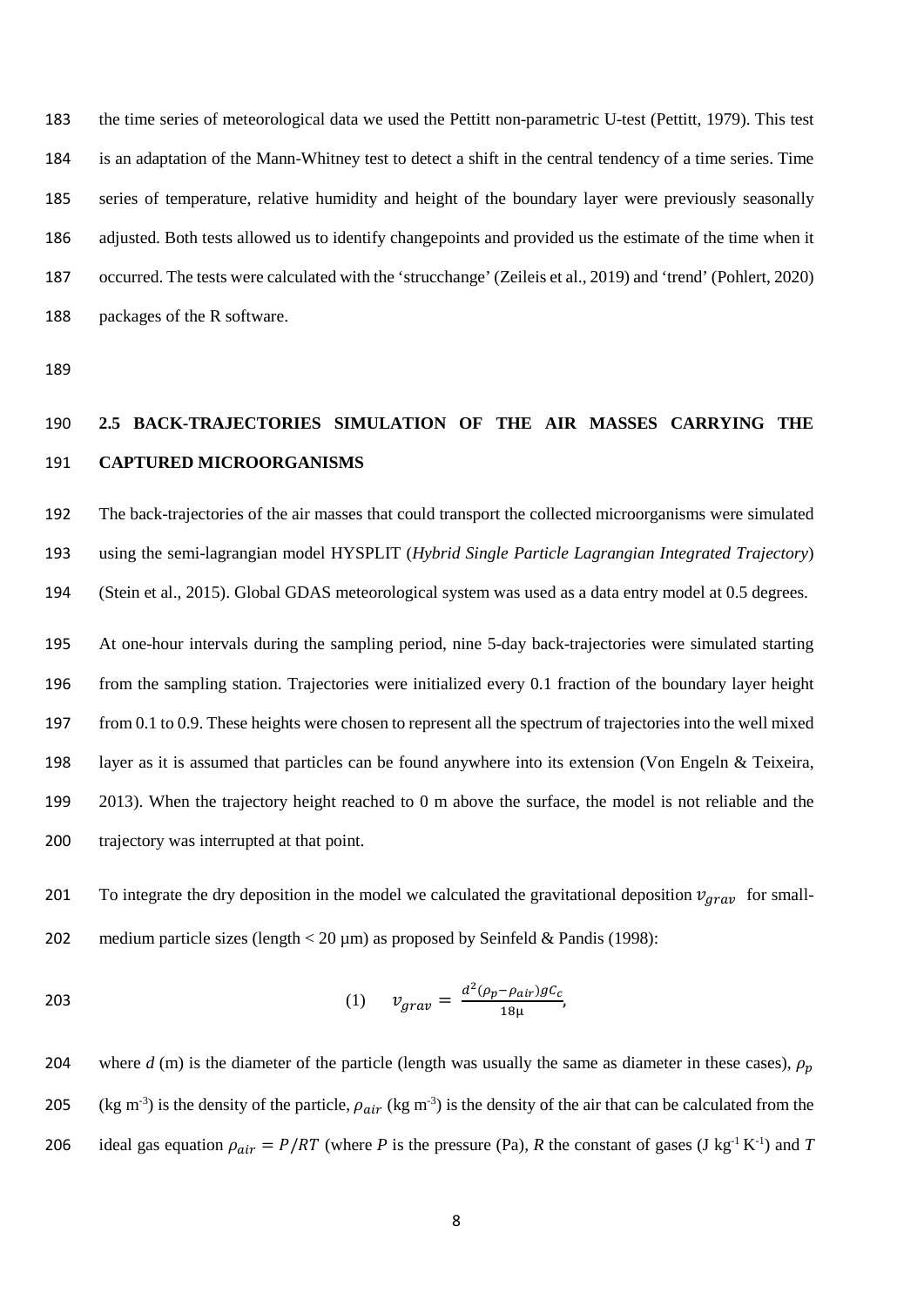the time series of meteorological data we used the Pettitt non-parametric U-test (Pettitt, 1979). This test is an adaptation of the Mann-Whitney test to detect a shift in the central tendency of a time series. Time series of temperature, relative humidity and height of the boundary layer were previously seasonally adjusted. Both tests allowed us to identify changepoints and provided us the estimate of the time when it occurred. The tests were calculated with the 'strucchange' (Zeileis et al., 2019) and 'trend' (Pohlert, 2020) packages of the R software.

## **2.5 BACK-TRAJECTORIES SIMULATION OF THE AIR MASSES CARRYING THE CAPTURED MICROORGANISMS**

 The back-trajectories of the air masses that could transport the collected microorganisms were simulated using the semi-lagrangian model HYSPLIT (*Hybrid Single Particle Lagrangian Integrated Trajectory*) (Stein et al., 2015). Global GDAS meteorological system was used as a data entry model at 0.5 degrees.

 At one-hour intervals during the sampling period, nine 5-day back-trajectories were simulated starting from the sampling station. Trajectories were initialized every 0.1 fraction of the boundary layer height 197 from 0.1 to 0.9. These heights were chosen to represent all the spectrum of trajectories into the well mixed layer as it is assumed that particles can be found anywhere into its extension (Von Engeln & Teixeira, 2013). When the trajectory height reached to 0 m above the surface, the model is not reliable and the trajectory was interrupted at that point.

201 To integrate the dry deposition in the model we calculated the gravitational deposition  $v_{array}$  for small-202 medium particle sizes (length  $<$  20  $\mu$ m) as proposed by Seinfeld & Pandis (1998):

203 
$$
v_{grav} = \frac{d^2(\rho_p - \rho_{air})gC_c}{18\mu},
$$

204 where  $d$  (m) is the diameter of the particle (length was usually the same as diameter in these cases),  $\rho_p$ 205 (kg m<sup>-3</sup>) is the density of the particle,  $\rho_{air}$  (kg m<sup>-3</sup>) is the density of the air that can be calculated from the 206 ideal gas equation  $\rho_{air} = P/RT$  (where *P* is the pressure (Pa), *R* the constant of gases (J kg<sup>-1</sup> K<sup>-1</sup>) and *T*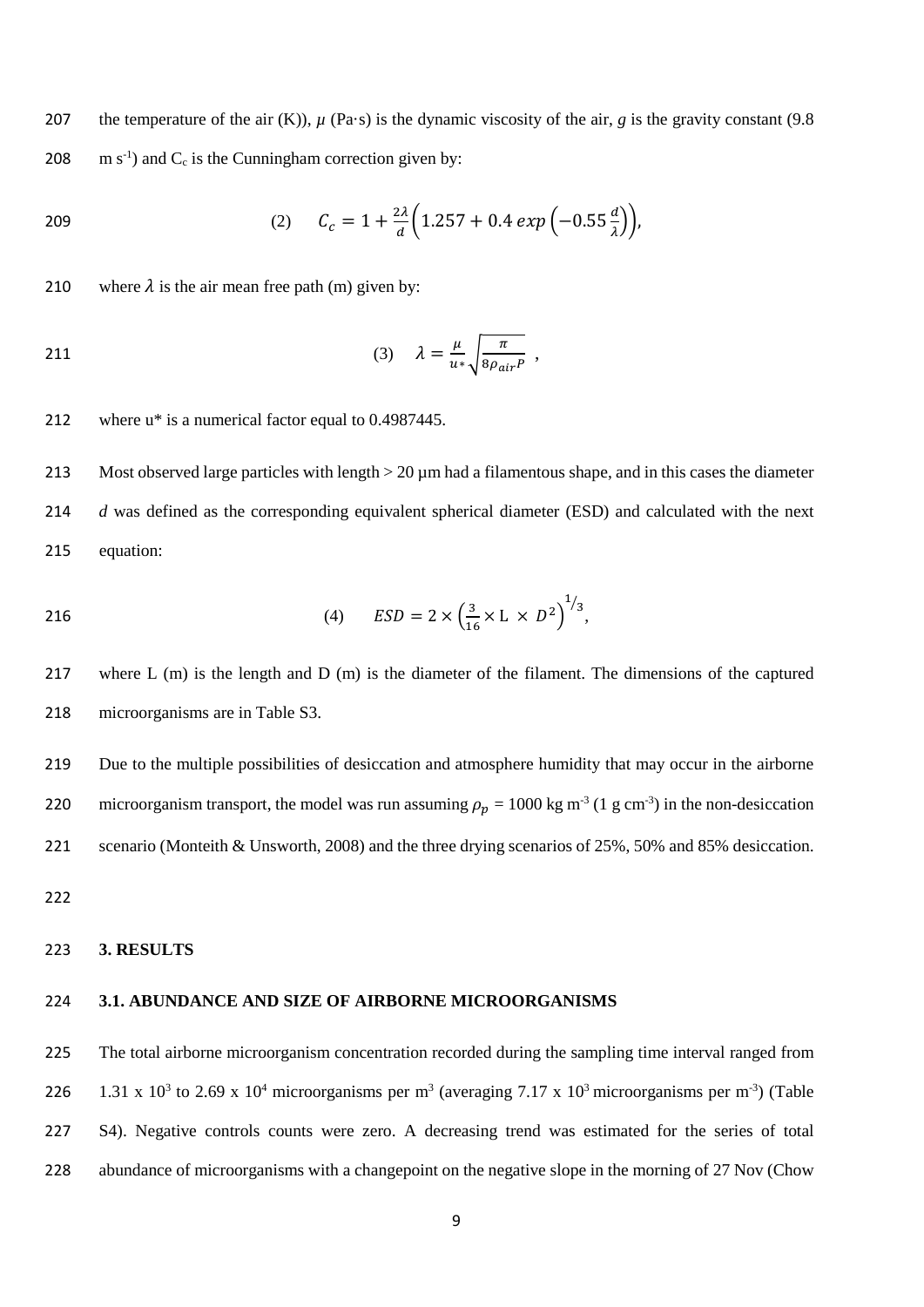207 the temperature of the air  $(K)$ ),  $\mu$  (Pa·s) is the dynamic viscosity of the air, *g* is the gravity constant (9.8) 208  $\text{m s}^{-1}$  and C<sub>c</sub> is the Cunningham correction given by:

209   
(2) 
$$
C_c = 1 + \frac{2\lambda}{d} \left( 1.257 + 0.4 \exp\left( -0.55 \frac{d}{\lambda} \right) \right)
$$

210 where  $\lambda$  is the air mean free path (m) given by:

$$
(3) \quad \lambda = \frac{\mu}{u^*} \sqrt{\frac{\pi}{8\rho_{air}P}} \ ,
$$

where u\* is a numerical factor equal to 0.4987445.

213 Most observed large particles with length  $>$  20  $\mu$ m had a filamentous shape, and in this cases the diameter *d* was defined as the corresponding equivalent spherical diameter (ESD) and calculated with the next equation:

216 (4) 
$$
ESD = 2 \times \left(\frac{3}{16} \times L \times D^2\right)^{1/3}
$$
,

 where L (m) is the length and D (m) is the diameter of the filament. The dimensions of the captured microorganisms are in Table S3.

 Due to the multiple possibilities of desiccation and atmosphere humidity that may occur in the airborne 220 microorganism transport, the model was run assuming  $\rho_p = 1000 \text{ kg m}^{-3}$  (1 g cm<sup>-3</sup>) in the non-desiccation scenario (Monteith & Unsworth, 2008) and the three drying scenarios of 25%, 50% and 85% desiccation.

#### **3. RESULTS**

#### **3.1. ABUNDANCE AND SIZE OF AIRBORNE MICROORGANISMS**

 The total airborne microorganism concentration recorded during the sampling time interval ranged from 226 1.31 x 10<sup>3</sup> to 2.69 x 10<sup>4</sup> microorganisms per m<sup>3</sup> (averaging 7.17 x 10<sup>3</sup> microorganisms per m<sup>-3</sup>) (Table S4). Negative controls counts were zero. A decreasing trend was estimated for the series of total abundance of microorganisms with a changepoint on the negative slope in the morning of 27 Nov (Chow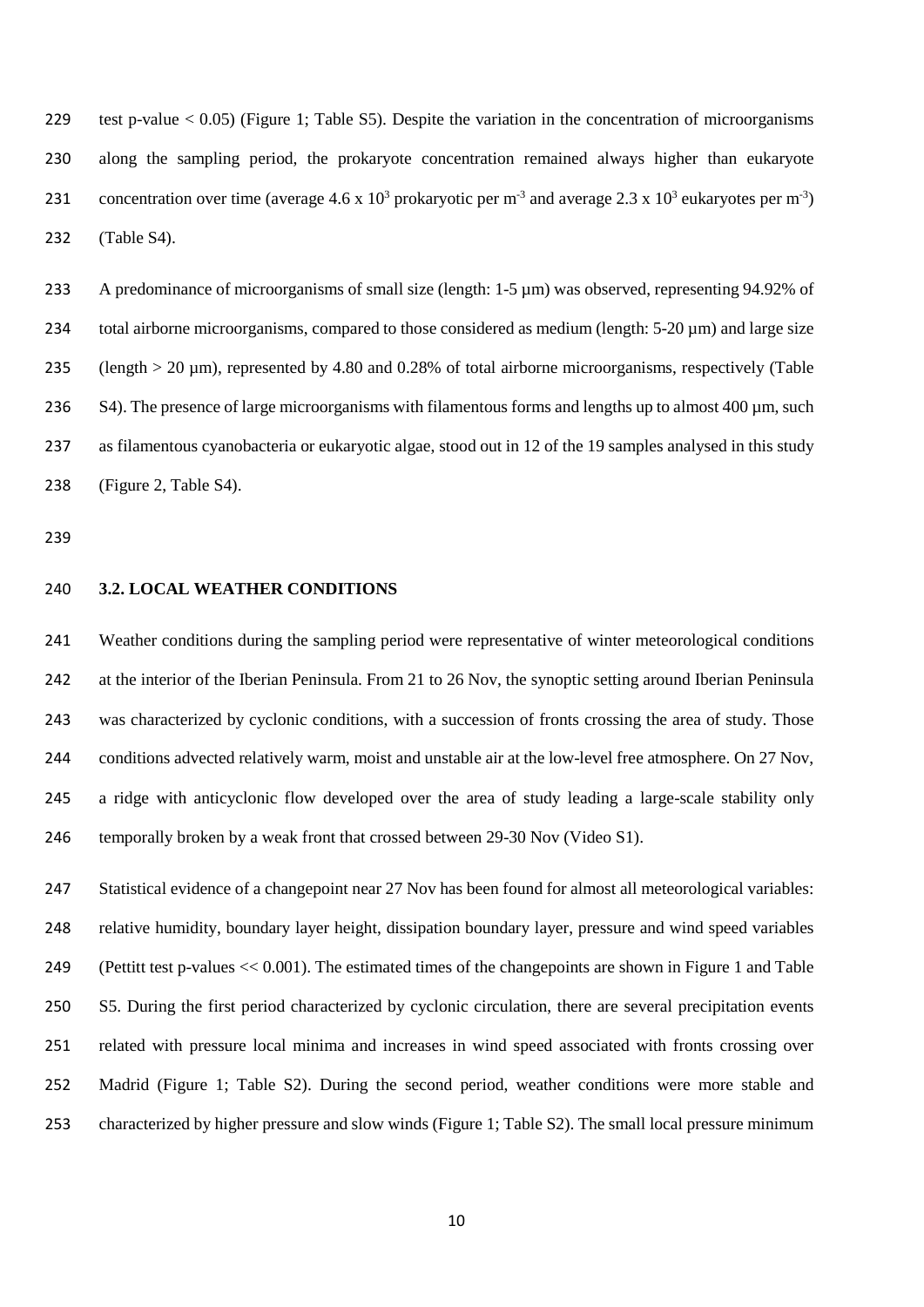test p-value < 0.05) (Figure 1; Table S5). Despite the variation in the concentration of microorganisms along the sampling period, the prokaryote concentration remained always higher than eukaryote 231 concentration over time (average 4.6 x  $10^3$  prokaryotic per m<sup>-3</sup> and average 2.3 x  $10^3$  eukaryotes per m<sup>-3</sup>) (Table S4).

233 A predominance of microorganisms of small size (length: 1-5  $\mu$ m) was observed, representing 94.92% of 234 total airborne microorganisms, compared to those considered as medium (length: 5-20 µm) and large size (length > 20 µm), represented by 4.80 and 0.28% of total airborne microorganisms, respectively (Table 236 S4). The presence of large microorganisms with filamentous forms and lengths up to almost 400 µm, such as filamentous cyanobacteria or eukaryotic algae, stood out in 12 of the 19 samples analysed in this study (Figure 2, Table S4).

**3.2. LOCAL WEATHER CONDITIONS**

 Weather conditions during the sampling period were representative of winter meteorological conditions at the interior of the Iberian Peninsula. From 21 to 26 Nov, the synoptic setting around Iberian Peninsula was characterized by cyclonic conditions, with a succession of fronts crossing the area of study. Those conditions advected relatively warm, moist and unstable air at the low-level free atmosphere. On 27 Nov, a ridge with anticyclonic flow developed over the area of study leading a large-scale stability only temporally broken by a weak front that crossed between 29-30 Nov (Video S1).

 Statistical evidence of a changepoint near 27 Nov has been found for almost all meteorological variables: relative humidity, boundary layer height, dissipation boundary layer, pressure and wind speed variables (Pettitt test p-values << 0.001). The estimated times of the changepoints are shown in Figure 1 and Table S5. During the first period characterized by cyclonic circulation, there are several precipitation events related with pressure local minima and increases in wind speed associated with fronts crossing over Madrid (Figure 1; Table S2). During the second period, weather conditions were more stable and characterized by higher pressure and slow winds (Figure 1; Table S2). The small local pressure minimum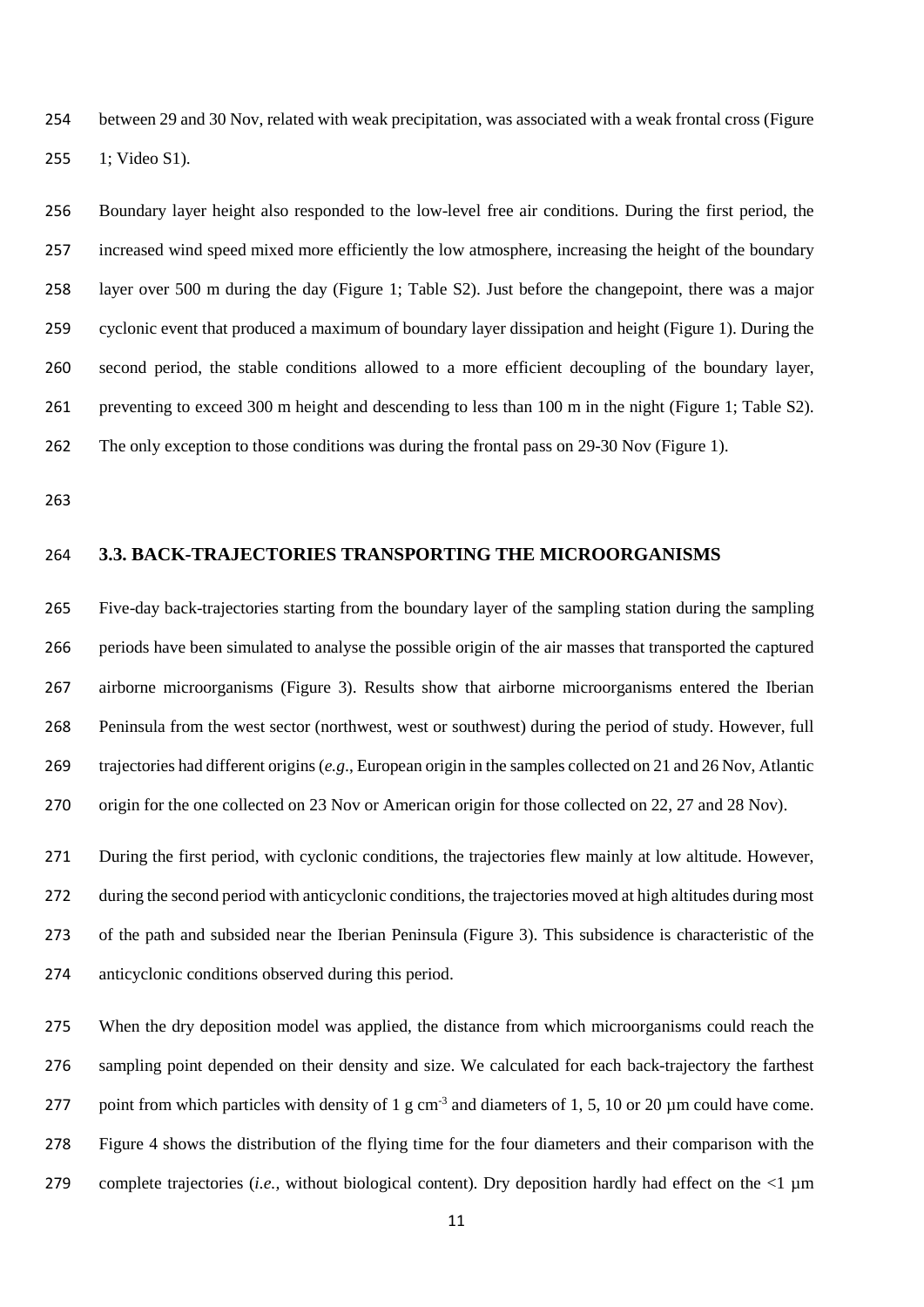between 29 and 30 Nov, related with weak precipitation, was associated with a weak frontal cross (Figure 1; Video S1).

 Boundary layer height also responded to the low-level free air conditions. During the first period, the increased wind speed mixed more efficiently the low atmosphere, increasing the height of the boundary layer over 500 m during the day (Figure 1; Table S2). Just before the changepoint, there was a major cyclonic event that produced a maximum of boundary layer dissipation and height (Figure 1). During the second period, the stable conditions allowed to a more efficient decoupling of the boundary layer, preventing to exceed 300 m height and descending to less than 100 m in the night (Figure 1; Table S2). The only exception to those conditions was during the frontal pass on 29-30 Nov (Figure 1).

## **3.3. BACK-TRAJECTORIES TRANSPORTING THE MICROORGANISMS**

 Five-day back-trajectories starting from the boundary layer of the sampling station during the sampling periods have been simulated to analyse the possible origin of the air masses that transported the captured airborne microorganisms (Figure 3). Results show that airborne microorganisms entered the Iberian Peninsula from the west sector (northwest, west or southwest) during the period of study. However, full trajectories had different origins (*e.g*., European origin in the samples collected on 21 and 26 Nov, Atlantic origin for the one collected on 23 Nov or American origin for those collected on 22, 27 and 28 Nov).

 During the first period, with cyclonic conditions, the trajectories flew mainly at low altitude. However, during the second period with anticyclonic conditions, the trajectories moved at high altitudes during most of the path and subsided near the Iberian Peninsula (Figure 3). This subsidence is characteristic of the anticyclonic conditions observed during this period.

 When the dry deposition model was applied, the distance from which microorganisms could reach the sampling point depended on their density and size. We calculated for each back-trajectory the farthest 277 point from which particles with density of 1 g cm<sup>-3</sup> and diameters of 1, 5, 10 or 20  $\mu$ m could have come. Figure 4 shows the distribution of the flying time for the four diameters and their comparison with the complete trajectories (*i.e.,* without biological content). Dry deposition hardly had effect on the <1 µm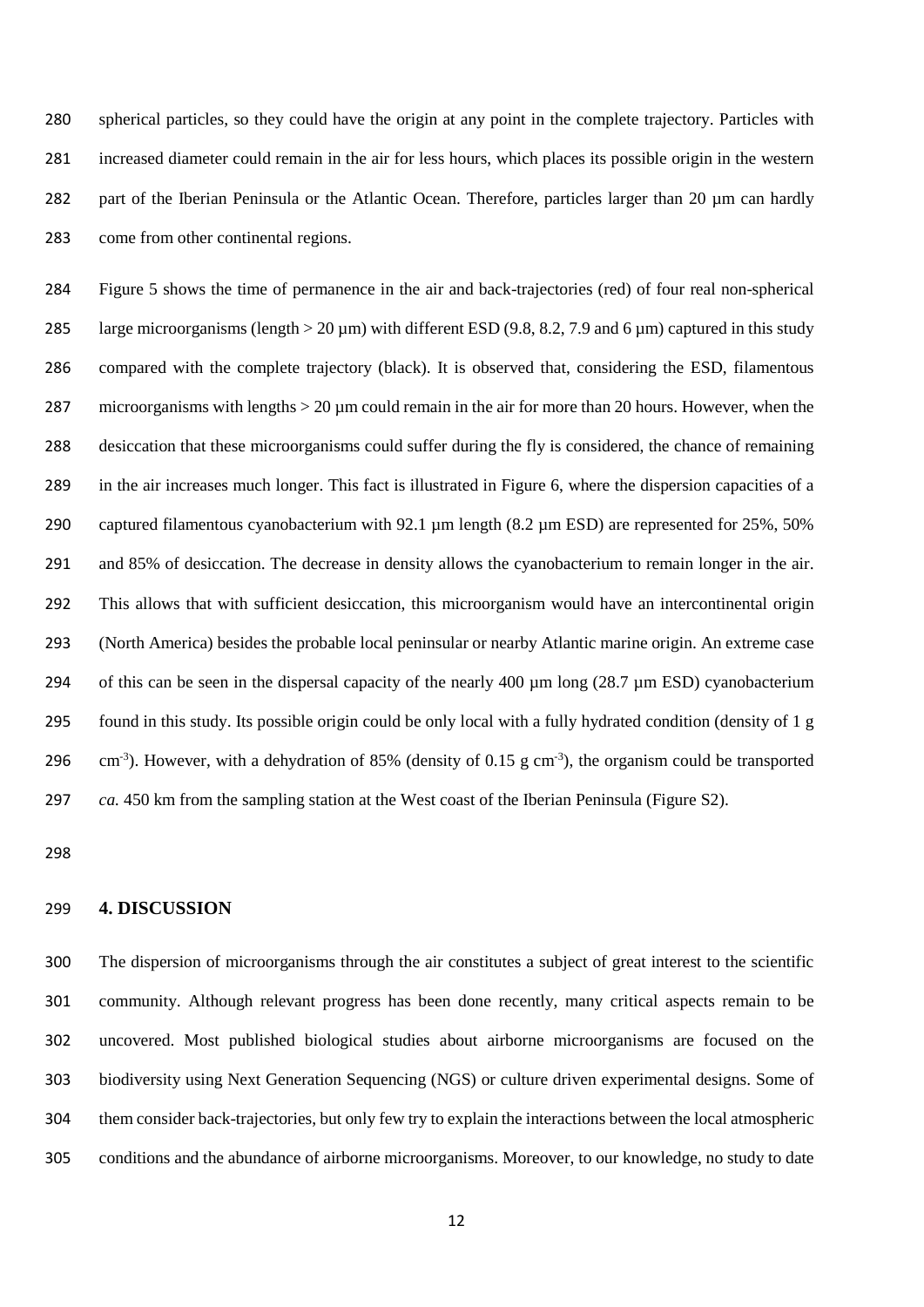spherical particles, so they could have the origin at any point in the complete trajectory. Particles with increased diameter could remain in the air for less hours, which places its possible origin in the western 282 part of the Iberian Peninsula or the Atlantic Ocean. Therefore, particles larger than 20 µm can hardly come from other continental regions.

 Figure 5 shows the time of permanence in the air and back-trajectories (red) of four real non-spherical 285 large microorganisms (length  $> 20 \mu$ m) with different ESD (9.8, 8.2, 7.9 and 6  $\mu$ m) captured in this study compared with the complete trajectory (black). It is observed that, considering the ESD, filamentous 287 microorganisms with lengths  $> 20 \mu m$  could remain in the air for more than 20 hours. However, when the desiccation that these microorganisms could suffer during the fly is considered, the chance of remaining in the air increases much longer. This fact is illustrated in Figure 6, where the dispersion capacities of a 290 captured filamentous cyanobacterium with 92.1 µm length (8.2 µm ESD) are represented for 25%, 50% and 85% of desiccation. The decrease in density allows the cyanobacterium to remain longer in the air. This allows that with sufficient desiccation, this microorganism would have an intercontinental origin (North America) besides the probable local peninsular or nearby Atlantic marine origin. An extreme case 294 of this can be seen in the dispersal capacity of the nearly 400 µm long (28.7 µm ESD) cyanobacterium found in this study. Its possible origin could be only local with a fully hydrated condition (density of 1 g  $\text{cm}^{-3}$ ). However, with a dehydration of 85% (density of 0.15 g cm<sup>-3</sup>), the organism could be transported *ca.* 450 km from the sampling station at the West coast of the Iberian Peninsula (Figure S2).

## **4. DISCUSSION**

 The dispersion of microorganisms through the air constitutes a subject of great interest to the scientific community. Although relevant progress has been done recently, many critical aspects remain to be uncovered. Most published biological studies about airborne microorganisms are focused on the biodiversity using Next Generation Sequencing (NGS) or culture driven experimental designs. Some of them consider back-trajectories, but only few try to explain the interactions between the local atmospheric conditions and the abundance of airborne microorganisms. Moreover, to our knowledge, no study to date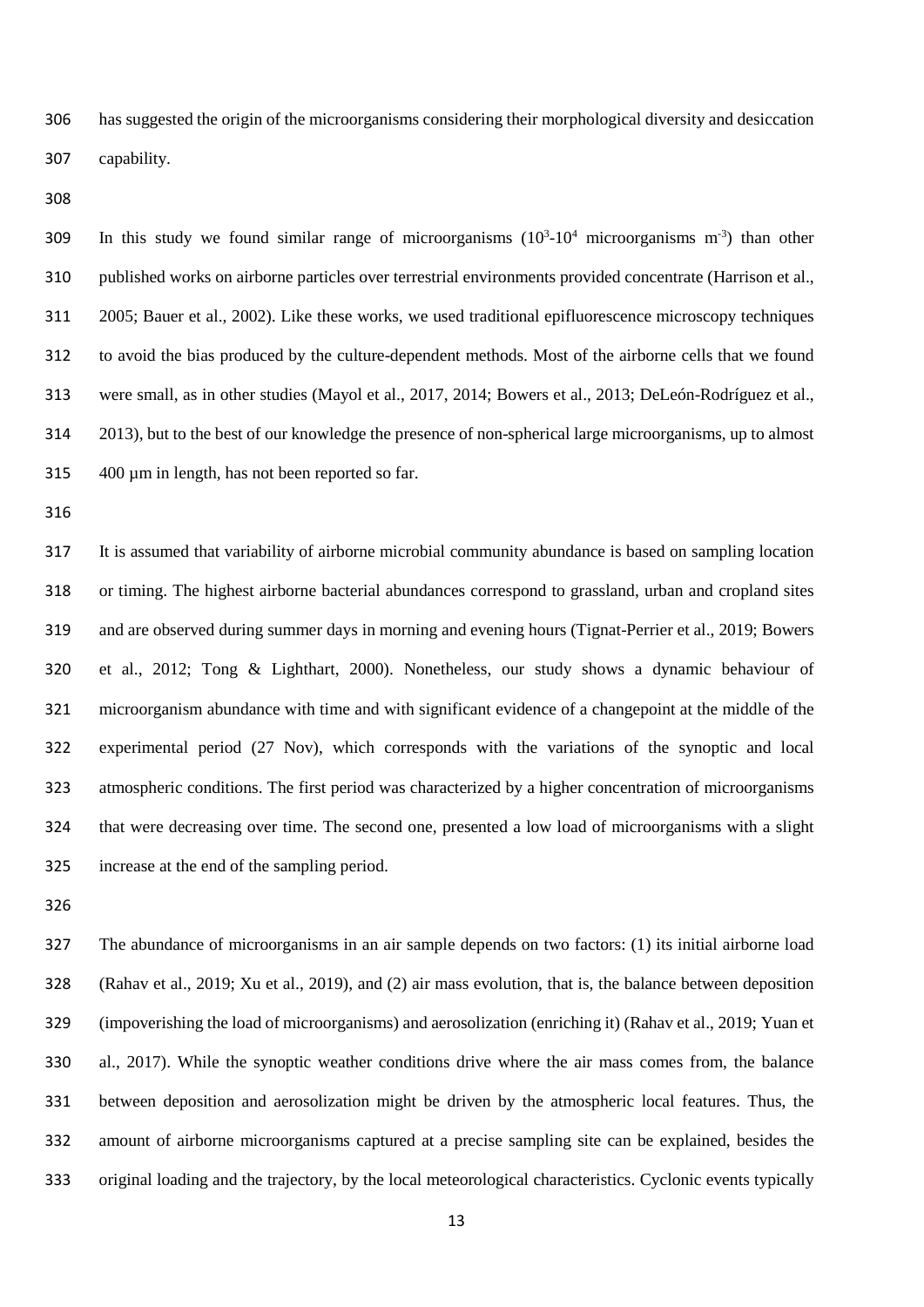has suggested the origin of the microorganisms considering their morphological diversity and desiccation capability.

309 In this study we found similar range of microorganisms  $(10^3 \text{-} 10^4 \text{ microorganisms m}^{-3})$  than other published works on airborne particles over terrestrial environments provided concentrate (Harrison et al., 2005; Bauer et al., 2002). Like these works, we used traditional epifluorescence microscopy techniques to avoid the bias produced by the culture-dependent methods. Most of the airborne cells that we found were small, as in other studies (Mayol et al., 2017, 2014; Bowers et al., 2013; DeLeón-Rodríguez et al., 2013), but to the best of our knowledge the presence of non-spherical large microorganisms, up to almost 400 µm in length, has not been reported so far.

 It is assumed that variability of airborne microbial community abundance is based on sampling location or timing. The highest airborne bacterial abundances correspond to grassland, urban and cropland sites and are observed during summer days in morning and evening hours (Tignat-Perrier et al., 2019; Bowers et al., 2012; Tong & Lighthart, 2000). Nonetheless, our study shows a dynamic behaviour of microorganism abundance with time and with significant evidence of a changepoint at the middle of the experimental period (27 Nov), which corresponds with the variations of the synoptic and local atmospheric conditions. The first period was characterized by a higher concentration of microorganisms that were decreasing over time. The second one, presented a low load of microorganisms with a slight increase at the end of the sampling period.

 The abundance of microorganisms in an air sample depends on two factors: (1) its initial airborne load (Rahav et al., 2019; Xu et al., 2019), and (2) air mass evolution, that is, the balance between deposition (impoverishing the load of microorganisms) and aerosolization (enriching it) (Rahav et al., 2019; Yuan et al., 2017). While the synoptic weather conditions drive where the air mass comes from, the balance between deposition and aerosolization might be driven by the atmospheric local features. Thus, the amount of airborne microorganisms captured at a precise sampling site can be explained, besides the original loading and the trajectory, by the local meteorological characteristics. Cyclonic events typically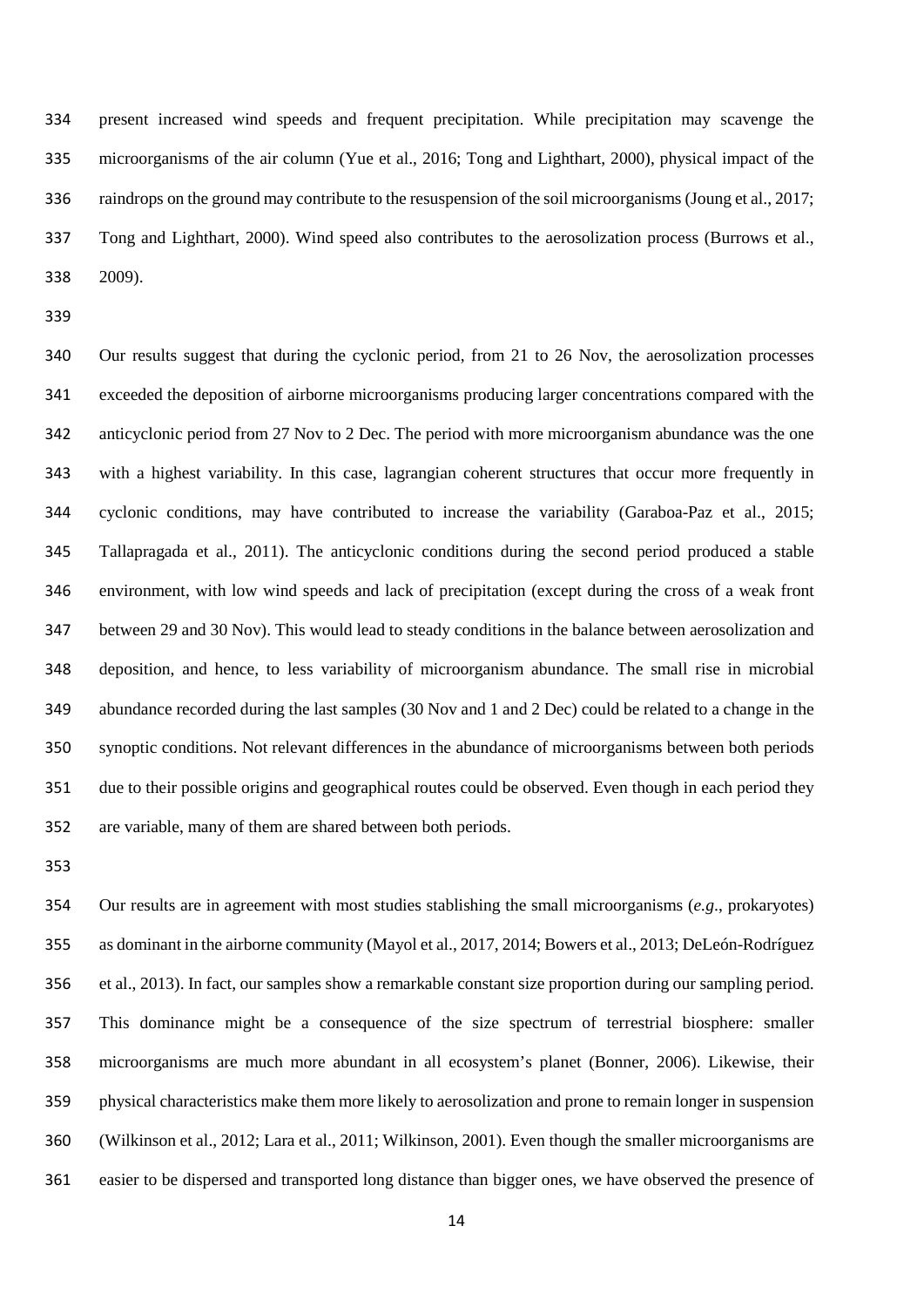present increased wind speeds and frequent precipitation. While precipitation may scavenge the microorganisms of the air column (Yue et al., 2016; Tong and Lighthart, 2000), physical impact of the raindrops on the ground may contribute to the resuspension of the soil microorganisms (Joung et al., 2017; Tong and Lighthart, 2000). Wind speed also contributes to the aerosolization process (Burrows et al., 2009).

 Our results suggest that during the cyclonic period, from 21 to 26 Nov, the aerosolization processes exceeded the deposition of airborne microorganisms producing larger concentrations compared with the anticyclonic period from 27 Nov to 2 Dec. The period with more microorganism abundance was the one with a highest variability. In this case, lagrangian coherent structures that occur more frequently in cyclonic conditions, may have contributed to increase the variability (Garaboa-Paz et al., 2015; Tallapragada et al., 2011). The anticyclonic conditions during the second period produced a stable environment, with low wind speeds and lack of precipitation (except during the cross of a weak front between 29 and 30 Nov). This would lead to steady conditions in the balance between aerosolization and deposition, and hence, to less variability of microorganism abundance. The small rise in microbial abundance recorded during the last samples (30 Nov and 1 and 2 Dec) could be related to a change in the synoptic conditions. Not relevant differences in the abundance of microorganisms between both periods due to their possible origins and geographical routes could be observed. Even though in each period they are variable, many of them are shared between both periods.

 Our results are in agreement with most studies stablishing the small microorganisms (*e.g*., prokaryotes) as dominant in the airborne community (Mayol et al., 2017, 2014; Bowers et al., 2013; DeLeón-Rodríguez et al., 2013). In fact, our samples show a remarkable constant size proportion during our sampling period. This dominance might be a consequence of the size spectrum of terrestrial biosphere: smaller microorganisms are much more abundant in all ecosystem's planet (Bonner, 2006). Likewise, their physical characteristics make them more likely to aerosolization and prone to remain longer in suspension (Wilkinson et al., 2012; Lara et al., 2011; Wilkinson, 2001). Even though the smaller microorganisms are easier to be dispersed and transported long distance than bigger ones, we have observed the presence of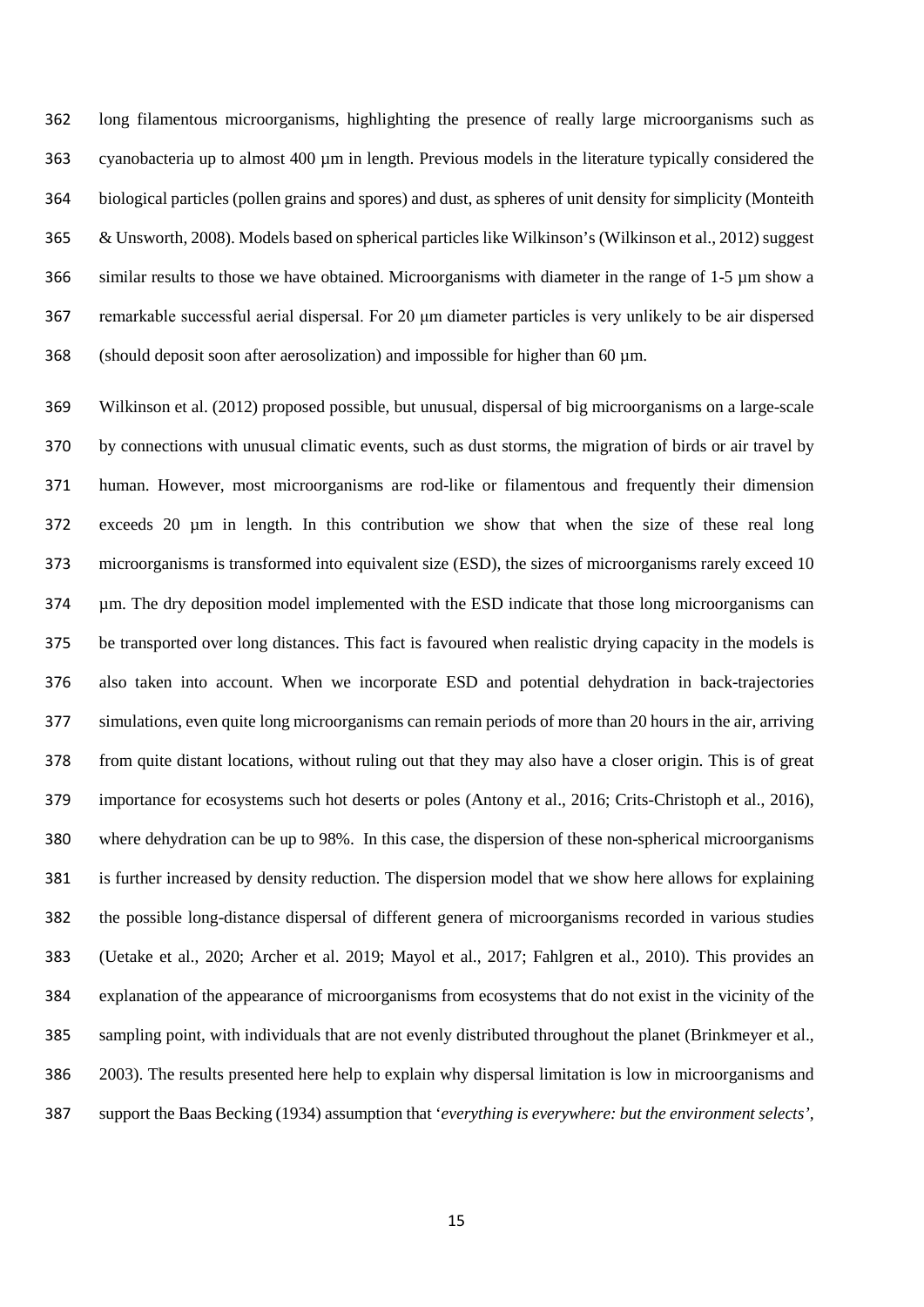long filamentous microorganisms, highlighting the presence of really large microorganisms such as cyanobacteria up to almost 400 µm in length. Previous models in the literature typically considered the biological particles (pollen grains and spores) and dust, as spheres of unit density for simplicity (Monteith & Unsworth, 2008). Models based on spherical particles like Wilkinson's (Wilkinson et al., 2012) suggest similar results to those we have obtained. Microorganisms with diameter in the range of 1-5 µm show a remarkable successful aerial dispersal. For 20 μm diameter particles is very unlikely to be air dispersed (should deposit soon after aerosolization) and impossible for higher than 60 µm.

 Wilkinson et al. (2012) proposed possible, but unusual, dispersal of big microorganisms on a large-scale by connections with unusual climatic events, such as dust storms, the migration of birds or air travel by human. However, most microorganisms are rod-like or filamentous and frequently their dimension exceeds 20 µm in length. In this contribution we show that when the size of these real long microorganisms is transformed into equivalent size (ESD), the sizes of microorganisms rarely exceed 10 µm. The dry deposition model implemented with the ESD indicate that those long microorganisms can be transported over long distances. This fact is favoured when realistic drying capacity in the models is also taken into account. When we incorporate ESD and potential dehydration in back-trajectories simulations, even quite long microorganisms can remain periods of more than 20 hours in the air, arriving from quite distant locations, without ruling out that they may also have a closer origin. This is of great importance for ecosystems such hot deserts or poles (Antony et al., 2016; Crits-Christoph et al., 2016), where dehydration can be up to 98%. In this case, the dispersion of these non-spherical microorganisms is further increased by density reduction. The dispersion model that we show here allows for explaining the possible long-distance dispersal of different genera of microorganisms recorded in various studies (Uetake et al., 2020; Archer et al. 2019; Mayol et al., 2017; Fahlgren et al., 2010). This provides an explanation of the appearance of microorganisms from ecosystems that do not exist in the vicinity of the sampling point, with individuals that are not evenly distributed throughout the planet (Brinkmeyer et al., 2003). The results presented here help to explain why dispersal limitation is low in microorganisms and support the Baas Becking (1934) assumption that '*everything is everywhere: but the environment selects',*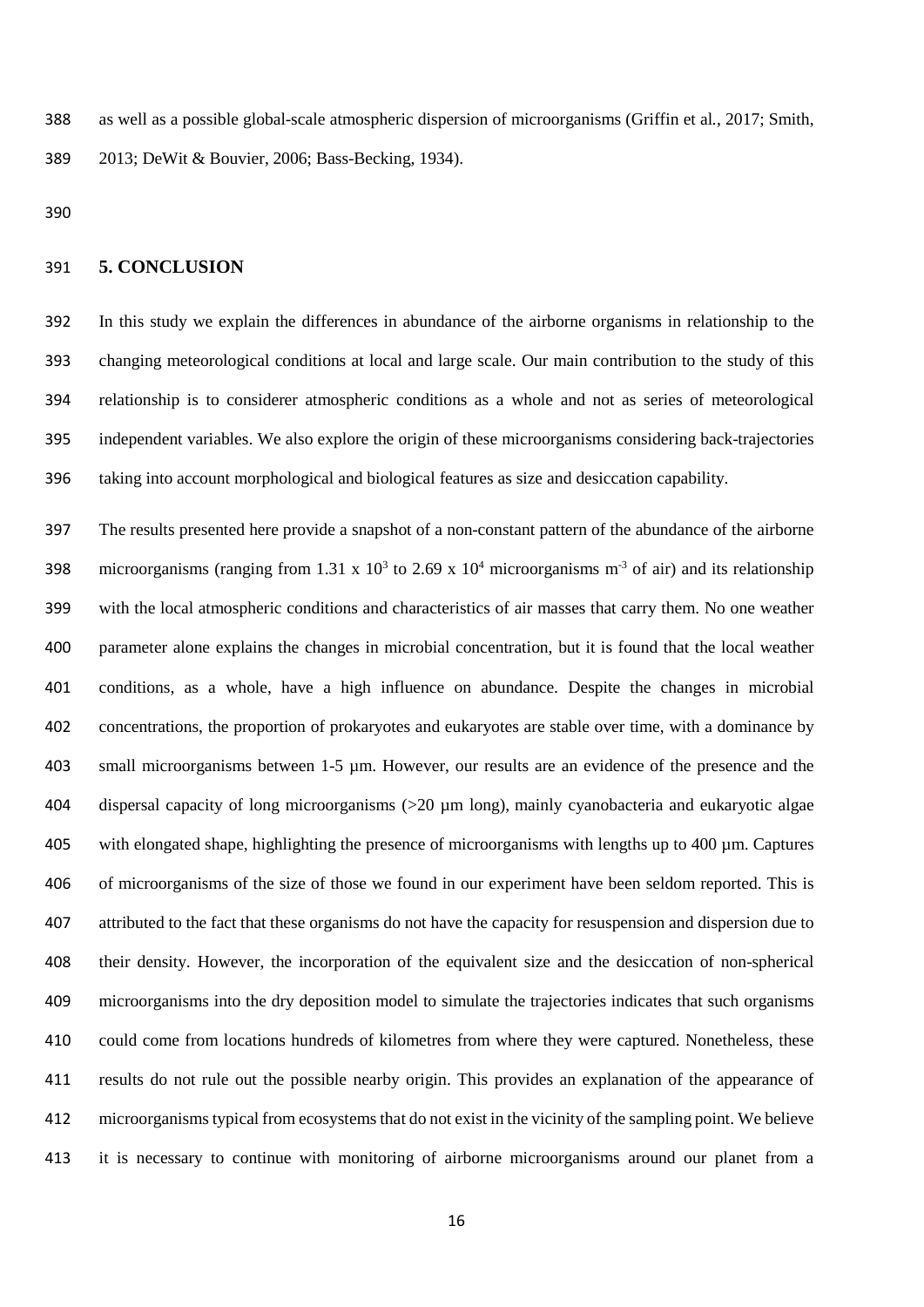as well as a possible global-scale atmospheric dispersion of microorganisms (Griffin et al*.*, 2017; Smith, 2013; DeWit & Bouvier, 2006; Bass-Becking, 1934).

## **5. CONCLUSION**

 In this study we explain the differences in abundance of the airborne organisms in relationship to the changing meteorological conditions at local and large scale. Our main contribution to the study of this relationship is to considerer atmospheric conditions as a whole and not as series of meteorological independent variables. We also explore the origin of these microorganisms considering back-trajectories taking into account morphological and biological features as size and desiccation capability.

 The results presented here provide a snapshot of a non-constant pattern of the abundance of the airborne 398 microorganisms (ranging from 1.31 x  $10^3$  to 2.69 x  $10^4$  microorganisms m<sup>-3</sup> of air) and its relationship with the local atmospheric conditions and characteristics of air masses that carry them. No one weather parameter alone explains the changes in microbial concentration, but it is found that the local weather conditions, as a whole, have a high influence on abundance. Despite the changes in microbial concentrations, the proportion of prokaryotes and eukaryotes are stable over time, with a dominance by small microorganisms between 1-5 µm. However, our results are an evidence of the presence and the dispersal capacity of long microorganisms (>20 µm long), mainly cyanobacteria and eukaryotic algae with elongated shape, highlighting the presence of microorganisms with lengths up to 400 µm. Captures of microorganisms of the size of those we found in our experiment have been seldom reported. This is attributed to the fact that these organisms do not have the capacity for resuspension and dispersion due to their density. However, the incorporation of the equivalent size and the desiccation of non-spherical microorganisms into the dry deposition model to simulate the trajectories indicates that such organisms could come from locations hundreds of kilometres from where they were captured. Nonetheless, these results do not rule out the possible nearby origin. This provides an explanation of the appearance of microorganisms typical from ecosystems that do not exist in the vicinity of the sampling point. We believe it is necessary to continue with monitoring of airborne microorganisms around our planet from a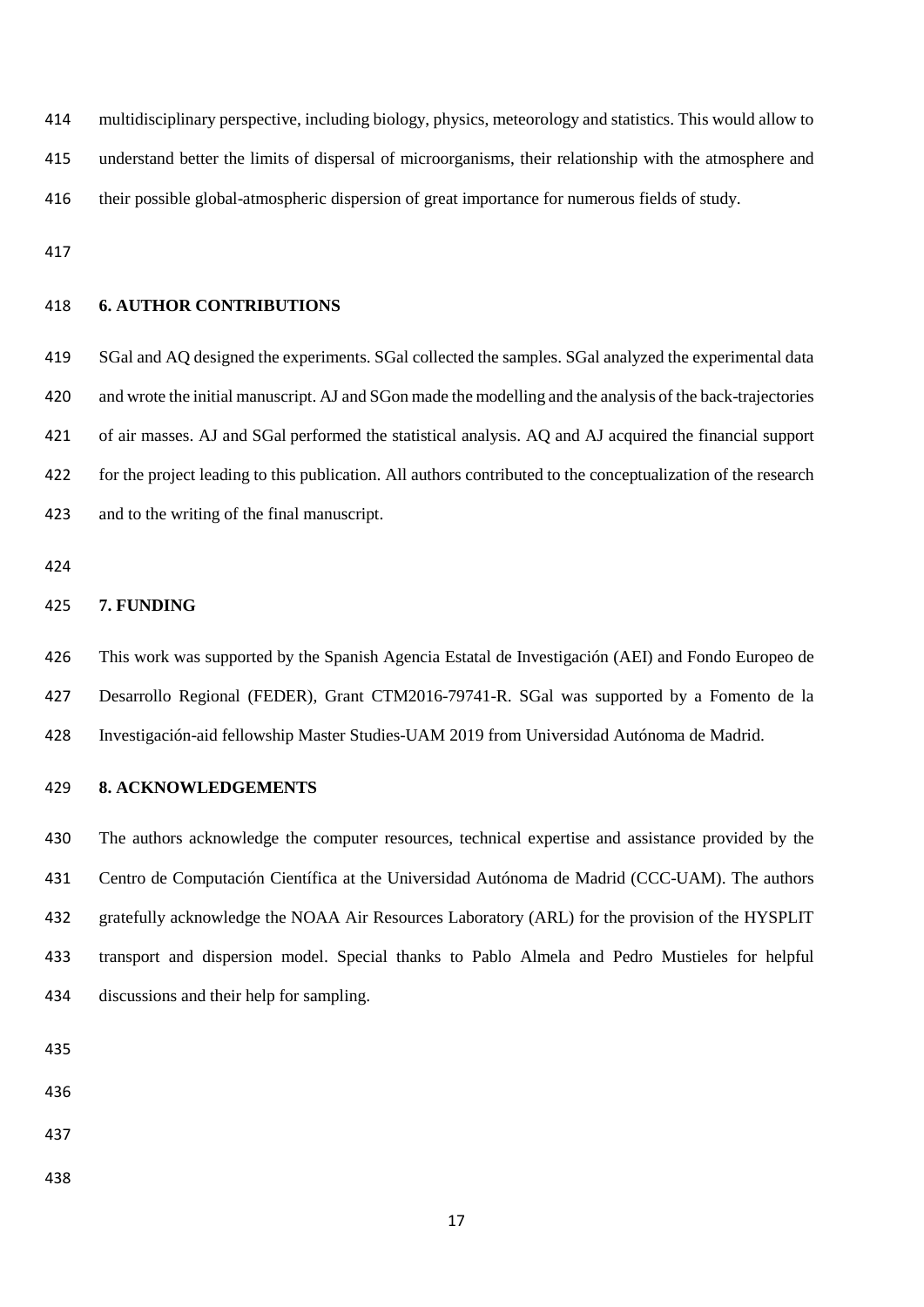multidisciplinary perspective, including biology, physics, meteorology and statistics. This would allow to understand better the limits of dispersal of microorganisms, their relationship with the atmosphere and their possible global-atmospheric dispersion of great importance for numerous fields of study.

## **6. AUTHOR CONTRIBUTIONS**

 SGal and AQ designed the experiments. SGal collected the samples. SGal analyzed the experimental data and wrote the initial manuscript. AJ and SGon made the modelling and the analysis of the back-trajectories of air masses. AJ and SGal performed the statistical analysis. AQ and AJ acquired the financial support for the project leading to this publication. All authors contributed to the conceptualization of the research and to the writing of the final manuscript.

#### **7. FUNDING**

 This work was supported by the Spanish Agencia Estatal de Investigación (AEI) and Fondo Europeo de Desarrollo Regional (FEDER), Grant CTM2016-79741-R. SGal was supported by a Fomento de la Investigación-aid fellowship Master Studies-UAM 2019 from Universidad Autónoma de Madrid.

#### **8. ACKNOWLEDGEMENTS**

 The authors acknowledge the computer resources, technical expertise and assistance provided by the Centro de Computación Científica at the Universidad Autónoma de Madrid (CCC-UAM). The authors gratefully acknowledge the NOAA Air Resources Laboratory (ARL) for the provision of the HYSPLIT transport and dispersion model. Special thanks to Pablo Almela and Pedro Mustieles for helpful discussions and their help for sampling.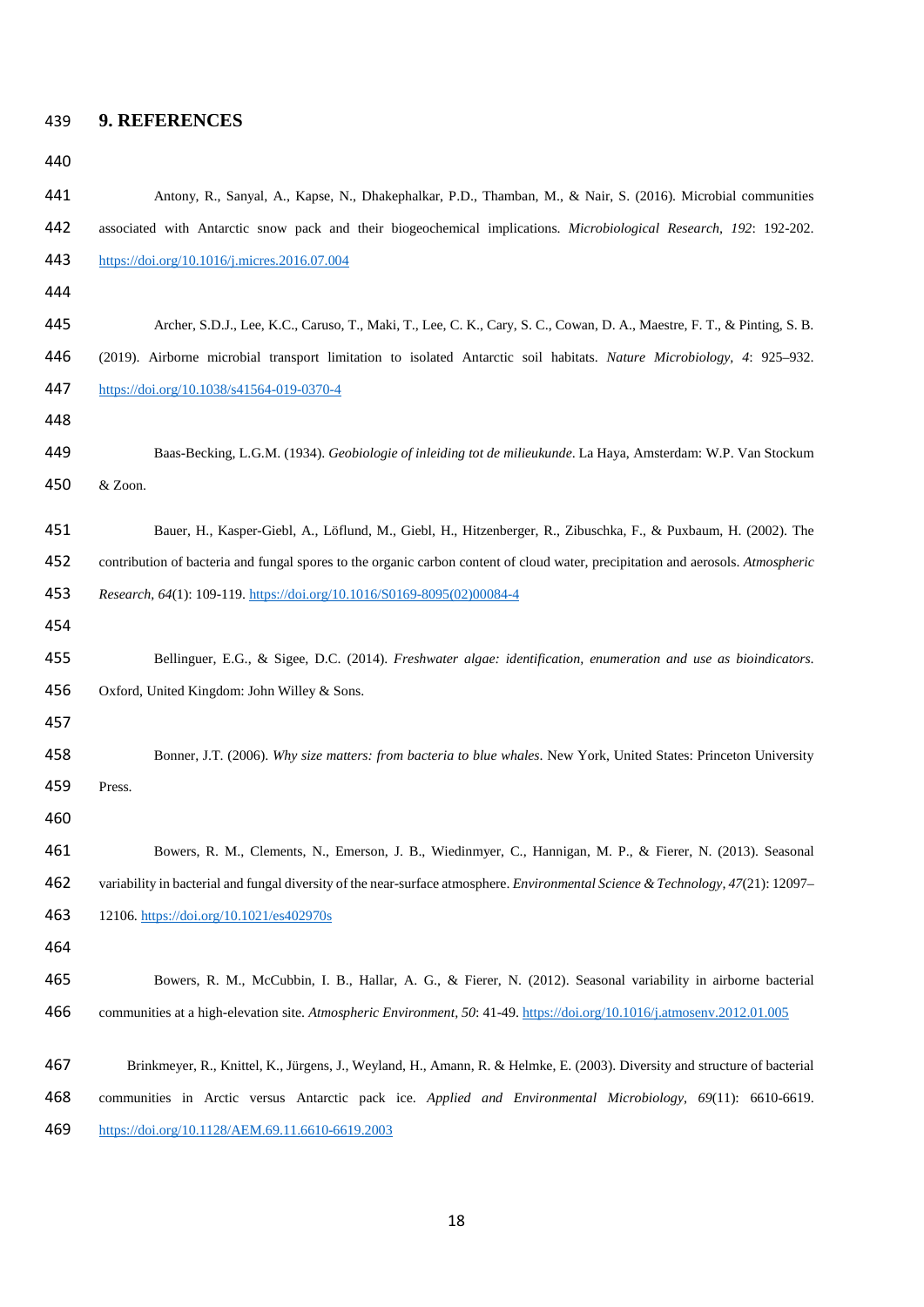| 439 |  |  | <b>9. REFERENCES</b> |
|-----|--|--|----------------------|
|-----|--|--|----------------------|

| ×<br>۰, |  |
|---------|--|
|---------|--|

 Antony, R., Sanyal, A., Kapse, N., Dhakephalkar, P.D., Thamban, M., & Nair, S. (2016). Microbial communities associated with Antarctic snow pack and their biogeochemical implications. *Microbiological Research, 192*: 192-202. <https://doi.org/10.1016/j.micres.2016.07.004> Archer, S.D.J., Lee, K.C., Caruso, T., Maki, T., Lee, C. K., Cary, S. C., Cowan, D. A., Maestre, F. T., & Pinting, S. B. (2019). Airborne microbial transport limitation to isolated Antarctic soil habitats. *Nature Microbiology, 4*: 925–932. <https://doi.org/10.1038/s41564-019-0370-4> Baas-Becking, L.G.M. (1934). *Geobiologie of inleiding tot de milieukunde*. La Haya, Amsterdam: W.P. Van Stockum & Zoon. Bauer, H., Kasper-Giebl, A., Löflund, M., Giebl, H., Hitzenberger, R., Zibuschka, F., & Puxbaum, H. (2002). The contribution of bacteria and fungal spores to the organic carbon content of cloud water, precipitation and aerosols. *Atmospheric Research, 64*(1): 109-119[. https://doi.org/10.1016/S0169-8095\(02\)00084-4](https://doi.org/10.1016/S0169-8095(02)00084-4) Bellinguer, E.G., & Sigee, D.C. (2014). *Freshwater algae: identification, enumeration and use as bioindicators*. Oxford, United Kingdom: John Willey & Sons. Bonner, J.T. (2006). *Why size matters: from bacteria to blue whales*. New York, United States: Princeton University Press. Bowers, R. M., Clements, N., Emerson, J. B., Wiedinmyer, C., Hannigan, M. P., & Fierer, N. (2013). Seasonal variability in bacterial and fungal diversity of the near-surface atmosphere. *Environmental Science & Technology, 47*(21): 12097– 12106.<https://doi.org/10.1021/es402970s> Bowers, R. M., McCubbin, I. B., Hallar, A. G., & Fierer, N. (2012). Seasonal variability in airborne bacterial communities at a high-elevation site. *Atmospheric Environment, 50*: 41-49[. https://doi.org/10.1016/j.atmosenv.2012.01.005](https://doi.org/10.1016/j.atmosenv.2012.01.005) Brinkmeyer, R., Knittel, K., Jürgens, J., Weyland, H., Amann, R. & Helmke, E. (2003). Diversity and structure of bacterial communities in Arctic versus Antarctic pack ice. *Applied and Environmental Microbiology, 69*(11): 6610-6619. <https://doi.org/10.1128/AEM.69.11.6610-6619.2003>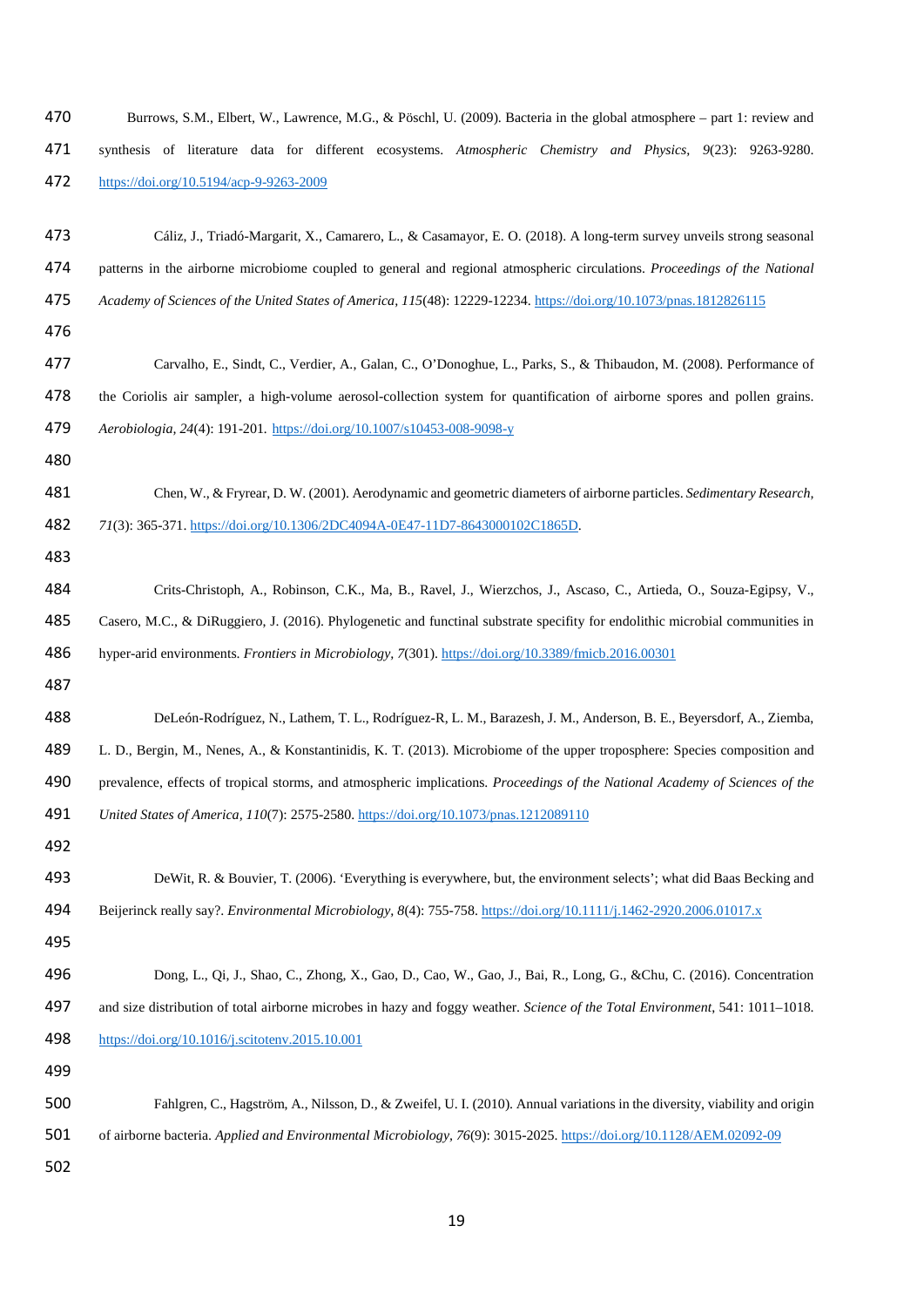| 470 | Burrows, S.M., Elbert, W., Lawrence, M.G., & Pöschl, U. (2009). Bacteria in the global atmosphere - part 1: review and        |
|-----|-------------------------------------------------------------------------------------------------------------------------------|
| 471 | synthesis of literature data for different ecosystems. Atmospheric Chemistry and Physics, 9(23): 9263-9280.                   |
| 472 | https://doi.org/10.5194/acp-9-9263-2009                                                                                       |
| 473 | Cáliz, J., Triadó-Margarit, X., Camarero, L., & Casamayor, E. O. (2018). A long-term survey unveils strong seasonal           |
| 474 | patterns in the airborne microbiome coupled to general and regional atmospheric circulations. Proceedings of the National     |
| 475 | Academy of Sciences of the United States of America, 115(48): 12229-12234. https://doi.org/10.1073/pnas.1812826115            |
| 476 |                                                                                                                               |
| 477 | Carvalho, E., Sindt, C., Verdier, A., Galan, C., O'Donoghue, L., Parks, S., & Thibaudon, M. (2008). Performance of            |
| 478 | the Coriolis air sampler, a high-volume aerosol-collection system for quantification of airborne spores and pollen grains.    |
| 479 | Aerobiologia, 24(4): 191-201. https://doi.org/10.1007/s10453-008-9098-y                                                       |
| 480 |                                                                                                                               |
| 481 | Chen, W., & Fryrear, D. W. (2001). Aerodynamic and geometric diameters of airborne particles. Sedimentary Research,           |
| 482 | 71(3): 365-371. https://doi.org/10.1306/2DC4094A-0E47-11D7-8643000102C1865D.                                                  |
| 483 |                                                                                                                               |
| 484 | Crits-Christoph, A., Robinson, C.K., Ma, B., Ravel, J., Wierzchos, J., Ascaso, C., Artieda, O., Souza-Egipsy, V.,             |
| 485 | Casero, M.C., & DiRuggiero, J. (2016). Phylogenetic and functinal substrate specifity for endolithic microbial communities in |
| 486 | hyper-arid environments. Frontiers in Microbiology, 7(301). https://doi.org/10.3389/fmicb.2016.00301                          |
| 487 |                                                                                                                               |
| 488 | DeLeón-Rodríguez, N., Lathem, T. L., Rodríguez-R, L. M., Barazesh, J. M., Anderson, B. E., Beyersdorf, A., Ziemba,            |
| 489 | L. D., Bergin, M., Nenes, A., & Konstantinidis, K. T. (2013). Microbiome of the upper troposphere: Species composition and    |
| 490 | prevalence, effects of tropical storms, and atmospheric implications. Proceedings of the National Academy of Sciences of the  |
| 491 | United States of America, 110(7): 2575-2580. https://doi.org/10.1073/pnas.1212089110                                          |
| 492 |                                                                                                                               |
| 493 | DeWit, R. & Bouvier, T. (2006). 'Everything is everywhere, but, the environment selects'; what did Baas Becking and           |
| 494 | Beijerinck really say?. Environmental Microbiology, 8(4): 755-758. https://doi.org/10.1111/j.1462-2920.2006.01017.x           |
| 495 |                                                                                                                               |
| 496 | Dong, L., Qi, J., Shao, C., Zhong, X., Gao, D., Cao, W., Gao, J., Bai, R., Long, G., &Chu, C. (2016). Concentration           |
| 497 | and size distribution of total airborne microbes in hazy and foggy weather. Science of the Total Environment, 541: 1011-1018. |
| 498 | https://doi.org/10.1016/j.scitotenv.2015.10.001                                                                               |
| 499 |                                                                                                                               |
| 500 | Fahlgren, C., Hagström, A., Nilsson, D., & Zweifel, U. I. (2010). Annual variations in the diversity, viability and origin    |
| 501 | of airborne bacteria. Applied and Environmental Microbiology, 76(9): 3015-2025. https://doi.org/10.1128/AEM.02092-09          |
| 502 |                                                                                                                               |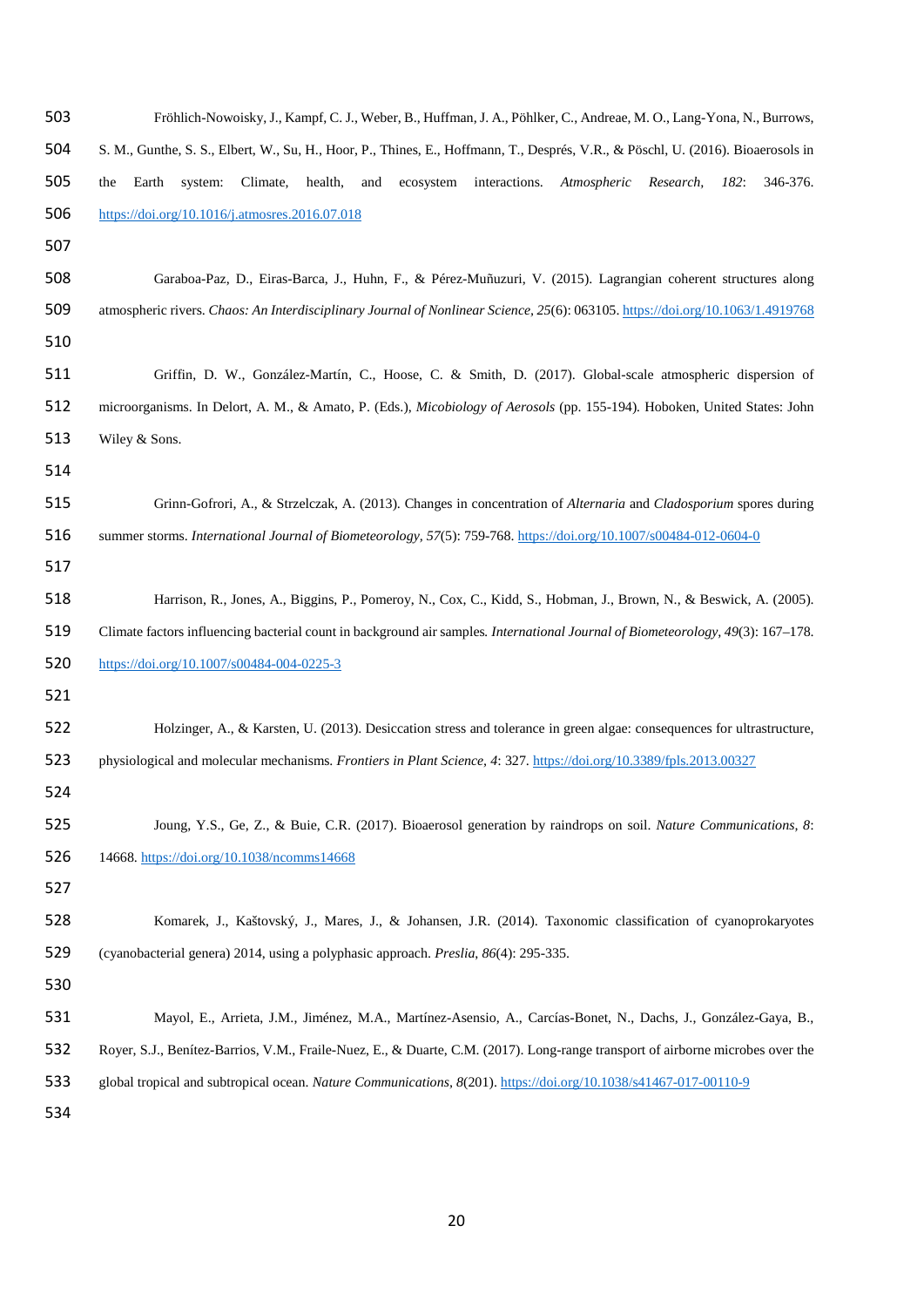| 503 | Fröhlich-Nowoisky, J., Kampf, C. J., Weber, B., Huffman, J. A., Pöhlker, C., Andreae, M. O., Lang-Yona, N., Burrows,                |
|-----|-------------------------------------------------------------------------------------------------------------------------------------|
| 504 | S. M., Gunthe, S. S., Elbert, W., Su, H., Hoor, P., Thines, E., Hoffmann, T., Després, V.R., & Pöschl, U. (2016). Bioaerosols in    |
| 505 | interactions.<br>346-376.<br>Earth<br>system:<br>Climate,<br>health,<br>and<br>ecosystem<br>Atmospheric<br>Research,<br>182:<br>the |
| 506 | https://doi.org/10.1016/j.atmosres.2016.07.018                                                                                      |
| 507 |                                                                                                                                     |
| 508 | Garaboa-Paz, D., Eiras-Barca, J., Huhn, F., & Pérez-Muñuzuri, V. (2015). Lagrangian coherent structures along                       |
| 509 | atmospheric rivers. Chaos: An Interdisciplinary Journal of Nonlinear Science, 25(6): 063105. https://doi.org/10.1063/1.4919768      |
| 510 |                                                                                                                                     |
| 511 | Griffin, D. W., González-Martín, C., Hoose, C. & Smith, D. (2017). Global-scale atmospheric dispersion of                           |
| 512 | microorganisms. In Delort, A. M., & Amato, P. (Eds.), Micobiology of Aerosols (pp. 155-194). Hoboken, United States: John           |
| 513 | Wiley & Sons.                                                                                                                       |
| 514 |                                                                                                                                     |
| 515 | Grinn-Gofrori, A., & Strzelczak, A. (2013). Changes in concentration of Alternaria and Cladosporium spores during                   |
| 516 | summer storms. International Journal of Biometeorology, 57(5): 759-768. https://doi.org/10.1007/s00484-012-0604-0                   |
| 517 |                                                                                                                                     |
| 518 | Harrison, R., Jones, A., Biggins, P., Pomeroy, N., Cox, C., Kidd, S., Hobman, J., Brown, N., & Beswick, A. (2005).                  |
| 519 | Climate factors influencing bacterial count in background air samples. International Journal of Biometeorology, 49(3): 167–178.     |
| 520 | https://doi.org/10.1007/s00484-004-0225-3                                                                                           |
| 521 |                                                                                                                                     |
| 522 | Holzinger, A., & Karsten, U. (2013). Desiccation stress and tolerance in green algae: consequences for ultrastructure,              |
| 523 | physiological and molecular mechanisms. Frontiers in Plant Science, 4: 327. https://doi.org/10.3389/fpls.2013.00327                 |
| 524 |                                                                                                                                     |
| 525 | Joung, Y.S., Ge, Z., & Buie, C.R. (2017). Bioaerosol generation by raindrops on soil. Nature Communications, 8:                     |
| 526 | 14668. https://doi.org/10.1038/ncomms14668                                                                                          |
| 527 |                                                                                                                                     |
| 528 | Komarek, J., Kaštovský, J., Mares, J., & Johansen, J.R. (2014). Taxonomic classification of cyanoprokaryotes                        |
| 529 | (cyanobacterial genera) 2014, using a polyphasic approach. Preslia, 86(4): 295-335.                                                 |
| 530 |                                                                                                                                     |
| 531 | Mayol, E., Arrieta, J.M., Jiménez, M.A., Martínez-Asensio, A., Carcías-Bonet, N., Dachs, J., González-Gaya, B.,                     |
| 532 | Royer, S.J., Benítez-Barrios, V.M., Fraile-Nuez, E., & Duarte, C.M. (2017). Long-range transport of airborne microbes over the      |
| 533 | global tropical and subtropical ocean. Nature Communications, 8(201). https://doi.org/10.1038/s41467-017-00110-9                    |
| 534 |                                                                                                                                     |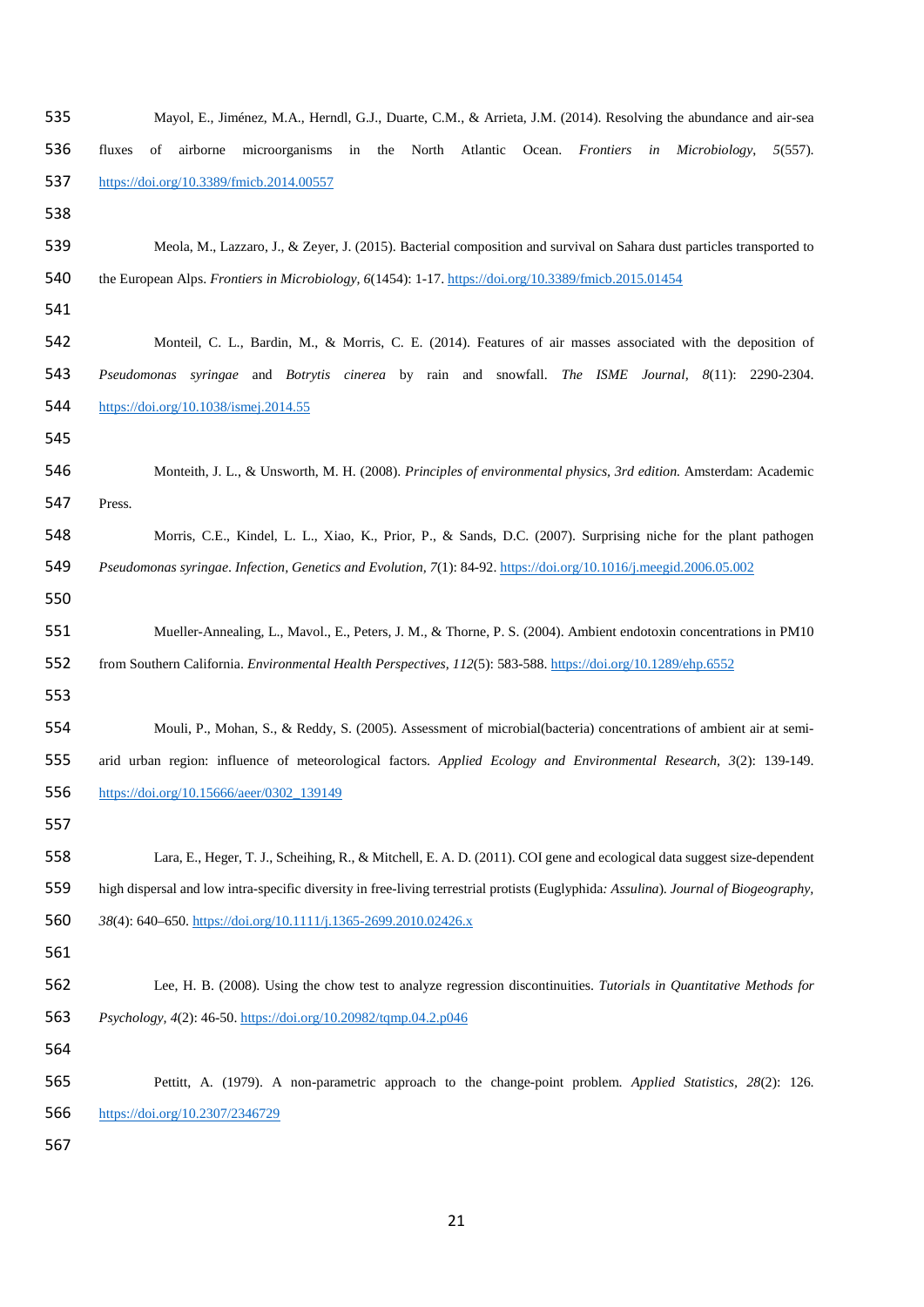| 535 | Mayol, E., Jiménez, M.A., Herndl, G.J., Duarte, C.M., & Arrieta, J.M. (2014). Resolving the abundance and air-sea                        |
|-----|------------------------------------------------------------------------------------------------------------------------------------------|
| 536 | North<br>Atlantic<br>Ocean.<br>Frontiers<br>fluxes<br>of<br>airborne<br>microorganisms<br>in<br>the<br>in<br>Microbiology,<br>$5(557)$ . |
| 537 | https://doi.org/10.3389/fmicb.2014.00557                                                                                                 |
| 538 |                                                                                                                                          |
| 539 | Meola, M., Lazzaro, J., & Zeyer, J. (2015). Bacterial composition and survival on Sahara dust particles transported to                   |
| 540 | the European Alps. Frontiers in Microbiology, 6(1454): 1-17. https://doi.org/10.3389/fmicb.2015.01454                                    |
| 541 |                                                                                                                                          |
| 542 | Monteil, C. L., Bardin, M., & Morris, C. E. (2014). Features of air masses associated with the deposition of                             |
| 543 | Pseudomonas syringae and Botrytis cinerea by rain and snowfall. The ISME Journal, 8(11): 2290-2304.                                      |
| 544 | https://doi.org/10.1038/ismej.2014.55                                                                                                    |
| 545 |                                                                                                                                          |
| 546 | Monteith, J. L., & Unsworth, M. H. (2008). Principles of environmental physics, 3rd edition. Amsterdam: Academic                         |
| 547 | Press.                                                                                                                                   |
| 548 | Morris, C.E., Kindel, L. L., Xiao, K., Prior, P., & Sands, D.C. (2007). Surprising niche for the plant pathogen                          |
| 549 | Pseudomonas syringae. Infection, Genetics and Evolution, 7(1): 84-92. https://doi.org/10.1016/j.meegid.2006.05.002                       |
| 550 |                                                                                                                                          |
| 551 | Mueller-Annealing, L., Mavol., E., Peters, J. M., & Thorne, P. S. (2004). Ambient endotoxin concentrations in PM10                       |
| 552 | from Southern California. Environmental Health Perspectives, 112(5): 583-588. https://doi.org/10.1289/ehp.6552                           |
| 553 |                                                                                                                                          |
| 554 | Mouli, P., Mohan, S., & Reddy, S. (2005). Assessment of microbial (bacteria) concentrations of ambient air at semi-                      |
| 555 | arid urban region: influence of meteorological factors. Applied Ecology and Environmental Research, 3(2): 139-149.                       |
| 556 | https://doi.org/10.15666/aeer/0302_139149                                                                                                |
| 557 |                                                                                                                                          |
| 558 | Lara, E., Heger, T. J., Scheihing, R., & Mitchell, E. A. D. (2011). COI gene and ecological data suggest size-dependent                  |
| 559 | high dispersal and low intra-specific diversity in free-living terrestrial protists (Euglyphida: Assulina). Journal of Biogeography,     |
| 560 | 38(4): 640-650. https://doi.org/10.1111/j.1365-2699.2010.02426.x                                                                         |
| 561 |                                                                                                                                          |
| 562 | Lee, H. B. (2008). Using the chow test to analyze regression discontinuities. Tutorials in Quantitative Methods for                      |
| 563 | Psychology, 4(2): 46-50. https://doi.org/10.20982/tqmp.04.2.p046                                                                         |
| 564 |                                                                                                                                          |
| 565 | Pettitt, A. (1979). A non-parametric approach to the change-point problem. Applied Statistics, 28(2): 126.                               |
| 566 | https://doi.org/10.2307/2346729                                                                                                          |
| 567 |                                                                                                                                          |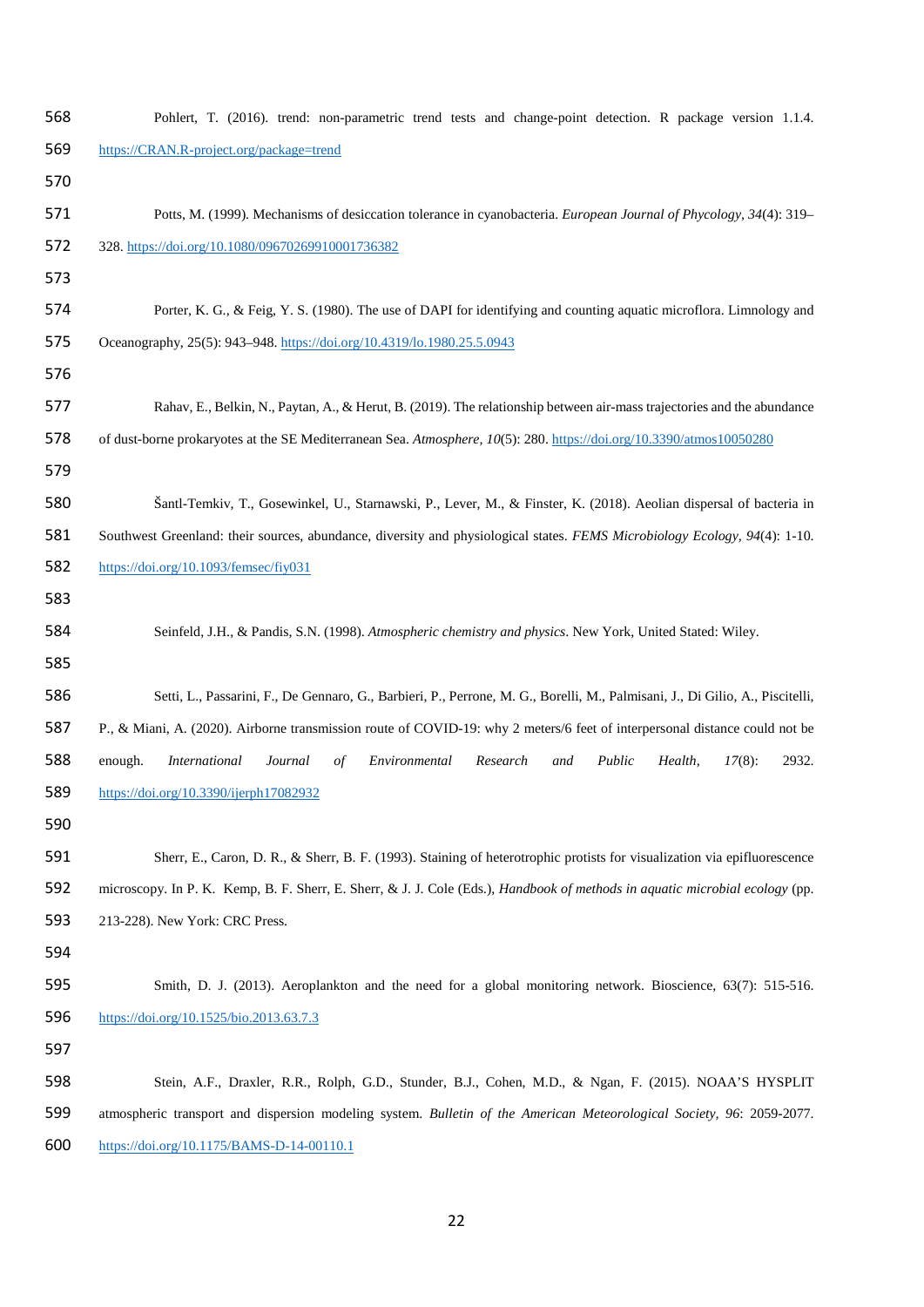| 568 | Pohlert, T. (2016). trend: non-parametric trend tests and change-point detection. R package version 1.1.4.                              |
|-----|-----------------------------------------------------------------------------------------------------------------------------------------|
| 569 | https://CRAN.R-project.org/package=trend                                                                                                |
| 570 |                                                                                                                                         |
| 571 | Potts, M. (1999). Mechanisms of desiccation tolerance in cyanobacteria. European Journal of Phycology, 34(4): 319–                      |
| 572 | 328. https://doi.org/10.1080/09670269910001736382                                                                                       |
| 573 |                                                                                                                                         |
| 574 | Porter, K. G., & Feig, Y. S. (1980). The use of DAPI for identifying and counting aquatic microflora. Limnology and                     |
| 575 | Oceanography, 25(5): 943-948. https://doi.org/10.4319/lo.1980.25.5.0943                                                                 |
| 576 |                                                                                                                                         |
| 577 | Rahav, E., Belkin, N., Paytan, A., & Herut, B. (2019). The relationship between air-mass trajectories and the abundance                 |
| 578 | of dust-borne prokaryotes at the SE Mediterranean Sea. Atmosphere, 10(5): 280. https://doi.org/10.3390/atmos10050280                    |
| 579 |                                                                                                                                         |
| 580 | Šantl-Temkiv, T., Gosewinkel, U., Starnawski, P., Lever, M., & Finster, K. (2018). Aeolian dispersal of bacteria in                     |
| 581 | Southwest Greenland: their sources, abundance, diversity and physiological states. FEMS Microbiology Ecology, 94(4): 1-10.              |
| 582 | https://doi.org/10.1093/femsec/fiy031                                                                                                   |
| 583 |                                                                                                                                         |
| 584 | Seinfeld, J.H., & Pandis, S.N. (1998). Atmospheric chemistry and physics. New York, United Stated: Wiley.                               |
| 585 |                                                                                                                                         |
| 586 | Setti, L., Passarini, F., De Gennaro, G., Barbieri, P., Perrone, M. G., Borelli, M., Palmisani, J., Di Gilio, A., Piscitelli,           |
| 587 | P., & Miani, A. (2020). Airborne transmission route of COVID-19: why 2 meters/6 feet of interpersonal distance could not be             |
| 588 | enough.<br>Environmental<br>Research<br>Public<br>Health,<br>$17(8)$ :<br>2932.<br><i>International</i><br>Journal<br>$\sigma f$<br>and |
| 589 | https://doi.org/10.3390/ijerph17082932                                                                                                  |
| 590 |                                                                                                                                         |
| 591 | Sherr, E., Caron, D. R., & Sherr, B. F. (1993). Staining of heterotrophic protists for visualization via epifluorescence                |
| 592 | microscopy. In P. K. Kemp, B. F. Sherr, E. Sherr, & J. J. Cole (Eds.), Handbook of methods in aquatic microbial ecology (pp.            |
| 593 | 213-228). New York: CRC Press.                                                                                                          |
| 594 |                                                                                                                                         |
| 595 | Smith, D. J. (2013). Aeroplankton and the need for a global monitoring network. Bioscience, 63(7): 515-516.                             |
| 596 | https://doi.org/10.1525/bio.2013.63.7.3                                                                                                 |
| 597 |                                                                                                                                         |
| 598 | Stein, A.F., Draxler, R.R., Rolph, G.D., Stunder, B.J., Cohen, M.D., & Ngan, F. (2015). NOAA'S HYSPLIT                                  |
| 599 | atmospheric transport and dispersion modeling system. Bulletin of the American Meteorological Society, 96: 2059-2077.                   |
| 600 | $\frac{https://doi.org/10.1175/BAMS-D-14-00110.1}{https://doi.org/10.1175/BAMS-D-14-00110.1}$                                           |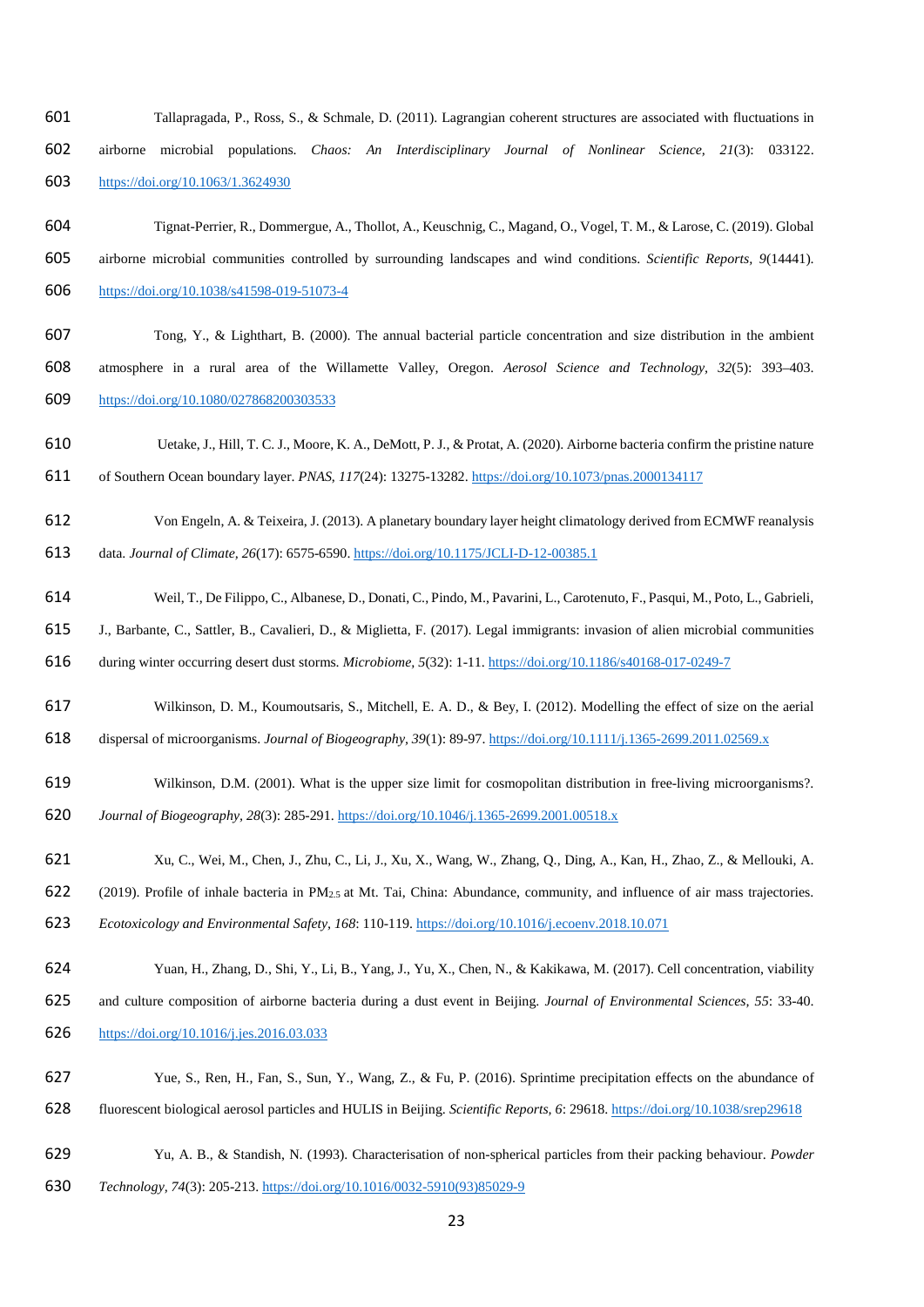- Tallapragada, P., Ross, S., & Schmale, D. (2011). Lagrangian coherent structures are associated with fluctuations in airborne microbial populations. *Chaos: An Interdisciplinary Journal of Nonlinear Science, 21*(3): 033122. <https://doi.org/10.1063/1.3624930>
- Tignat-Perrier, R., Dommergue, A., Thollot, A., Keuschnig, C., Magand, O., Vogel, T. M., & Larose, C. (2019). Global airborne microbial communities controlled by surrounding landscapes and wind conditions. *Scientific Reports, 9*(14441). <https://doi.org/10.1038/s41598-019-51073-4>
- Tong, Y., & Lighthart, B. (2000). The annual bacterial particle concentration and size distribution in the ambient atmosphere in a rural area of the Willamette Valley, Oregon. *Aerosol Science and Technology, 32*(5): 393–403. <https://doi.org/10.1080/027868200303533>
- Uetake, J., Hill, T. C. J., Moore, K. A., DeMott, P. J., & Protat, A. (2020). Airborne bacteria confirm the pristine nature of Southern Ocean boundary layer. *PNAS*, *117*(24): 13275-13282. <https://doi.org/10.1073/pnas.2000134117>
- Von Engeln, A. & Teixeira, J. (2013). A planetary boundary layer height climatology derived from ECMWF reanalysis

data. *Journal of Climate, 26*(17): 6575-6590. <https://doi.org/10.1175/JCLI-D-12-00385.1>

- Weil, T., De Filippo, C., Albanese, D., Donati, C., Pindo, M., Pavarini, L., Carotenuto, F., Pasqui, M., Poto, L., Gabrieli,
- J., Barbante, C., Sattler, B., Cavalieri, D., & Miglietta, F. (2017). Legal immigrants: invasion of alien microbial communities
- during winter occurring desert dust storms. *Microbiome, 5*(32): 1-11. <https://doi.org/10.1186/s40168-017-0249-7>
- Wilkinson, D. M., Koumoutsaris, S., Mitchell, E. A. D., & Bey, I. (2012). Modelling the effect of size on the aerial
- dispersal of microorganisms. *Journal of Biogeography, 39*(1): 89-97.<https://doi.org/10.1111/j.1365-2699.2011.02569.x>
- Wilkinson, D.M. (2001). What is the upper size limit for cosmopolitan distribution in free-living microorganisms?.
- *Journal of Biogeography, 28*(3): 285-291. <https://doi.org/10.1046/j.1365-2699.2001.00518.x>
- Xu, C., Wei, M., Chen, J., Zhu, C., Li, J., Xu, X., Wang, W., Zhang, Q., Ding, A., Kan, H., Zhao, Z., & Mellouki, A.
- (2019). Profile of inhale bacteria in PM2.5 at Mt. Tai, China: Abundance, community, and influence of air mass trajectories.
- *Ecotoxicology and Environmental Safety, 168*: 110-119[. https://doi.org/10.1016/j.ecoenv.2018.10.071](https://doi.org/10.1016/j.ecoenv.2018.10.071)
- Yuan, H., Zhang, D., Shi, Y., Li, B., Yang, J., Yu, X., Chen, N., & Kakikawa, M. (2017). Cell concentration, viability
- and culture composition of airborne bacteria during a dust event in Beijing. *Journal of Environmental Sciences, 55*: 33-40.
- <https://doi.org/10.1016/j.jes.2016.03.033>
- Yue, S., Ren, H., Fan, S., Sun, Y., Wang, Z., & Fu, P. (2016). Sprintime precipitation effects on the abundance of fluorescent biological aerosol particles and HULIS in Beijing. *Scientific Reports, 6*: 29618[. https://doi.org/10.1038/srep29618](https://doi.org/10.1038/srep29618)
- Yu, A. B., & Standish, N. (1993). Characterisation of non-spherical particles from their packing behaviour. *Powder*
- *Technology, 74*(3): 205-213. [https://doi.org/10.1016/0032-5910\(93\)85029-9](https://doi.org/10.1016/0032-5910(93)85029-9)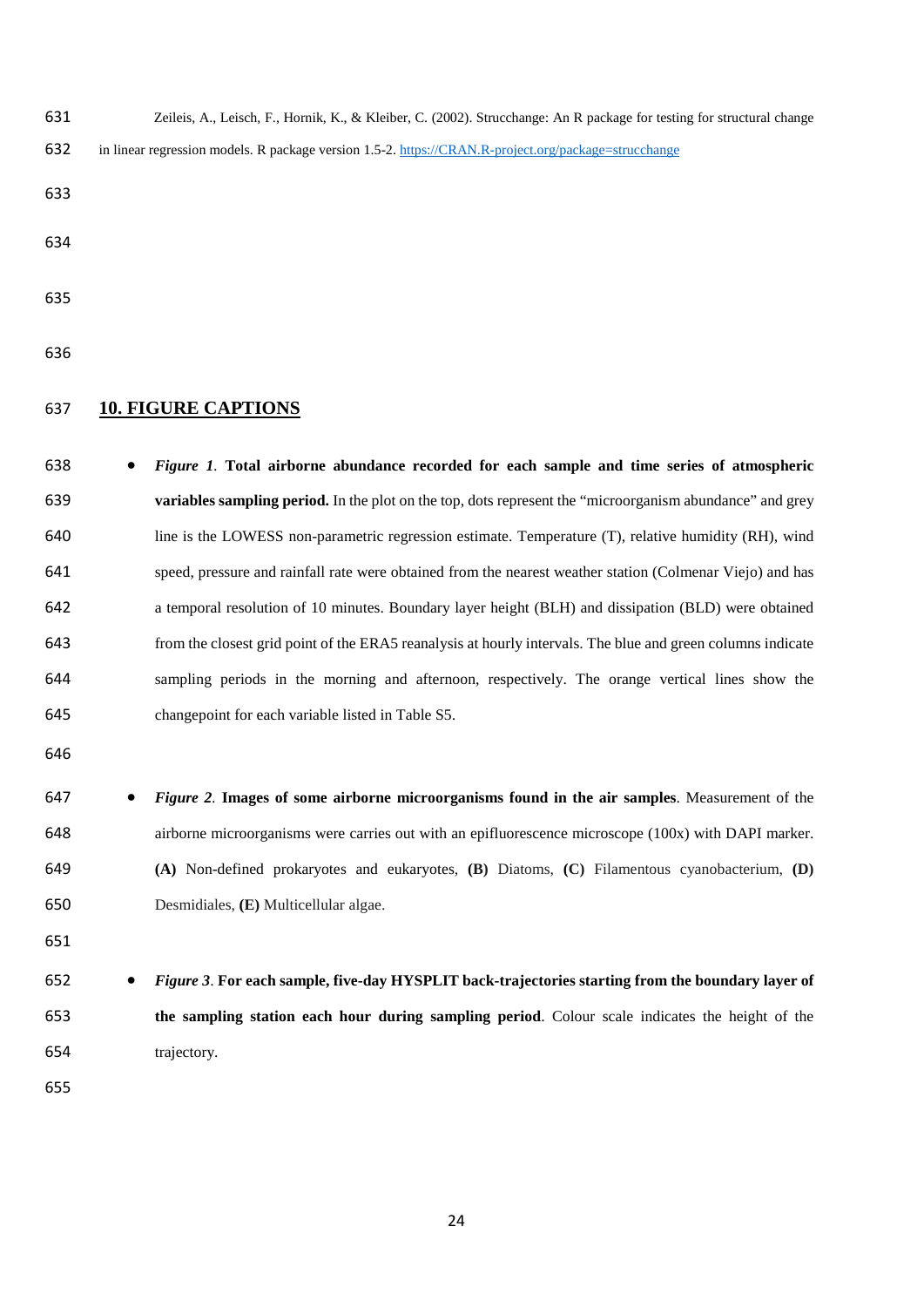- Zeileis, A., Leisch, F., Hornik, K., & Kleiber, C. (2002). Strucchange: An R package for testing for structural change
- 632 in linear regression models. R package version 1.5-2[. https://CRAN.R-project.org/package=strucchange](https://cran.r-project.org/package=strucchange)
- 
- 
- 
- 

## **10. FIGURE CAPTIONS**

- *Figure 1.* **Total airborne abundance recorded for each sample and time series of atmospheric variables sampling period.** In the plot on the top, dots represent the "microorganism abundance" and grey line is the LOWESS non-parametric regression estimate. Temperature (T), relative humidity (RH), wind speed, pressure and rainfall rate were obtained from the nearest weather station (Colmenar Viejo) and has a temporal resolution of 10 minutes. Boundary layer height (BLH) and dissipation (BLD) were obtained from the closest grid point of the ERA5 reanalysis at hourly intervals. The blue and green columns indicate sampling periods in the morning and afternoon, respectively. The orange vertical lines show the changepoint for each variable listed in Table S5.
- 
- *Figure 2.* **Images of some airborne microorganisms found in the air samples**. Measurement of the airborne microorganisms were carries out with an epifluorescence microscope (100x) with DAPI marker. **(A)** Non-defined prokaryotes and eukaryotes, **(B)** Diatoms, **(C)** Filamentous cyanobacterium, **(D)**  Desmidiales, **(E)** Multicellular algae.
- 
- *Figure 3*. **For each sample, five-day HYSPLIT back-trajectories starting from the boundary layer of the sampling station each hour during sampling period**. Colour scale indicates the height of the trajectory.
-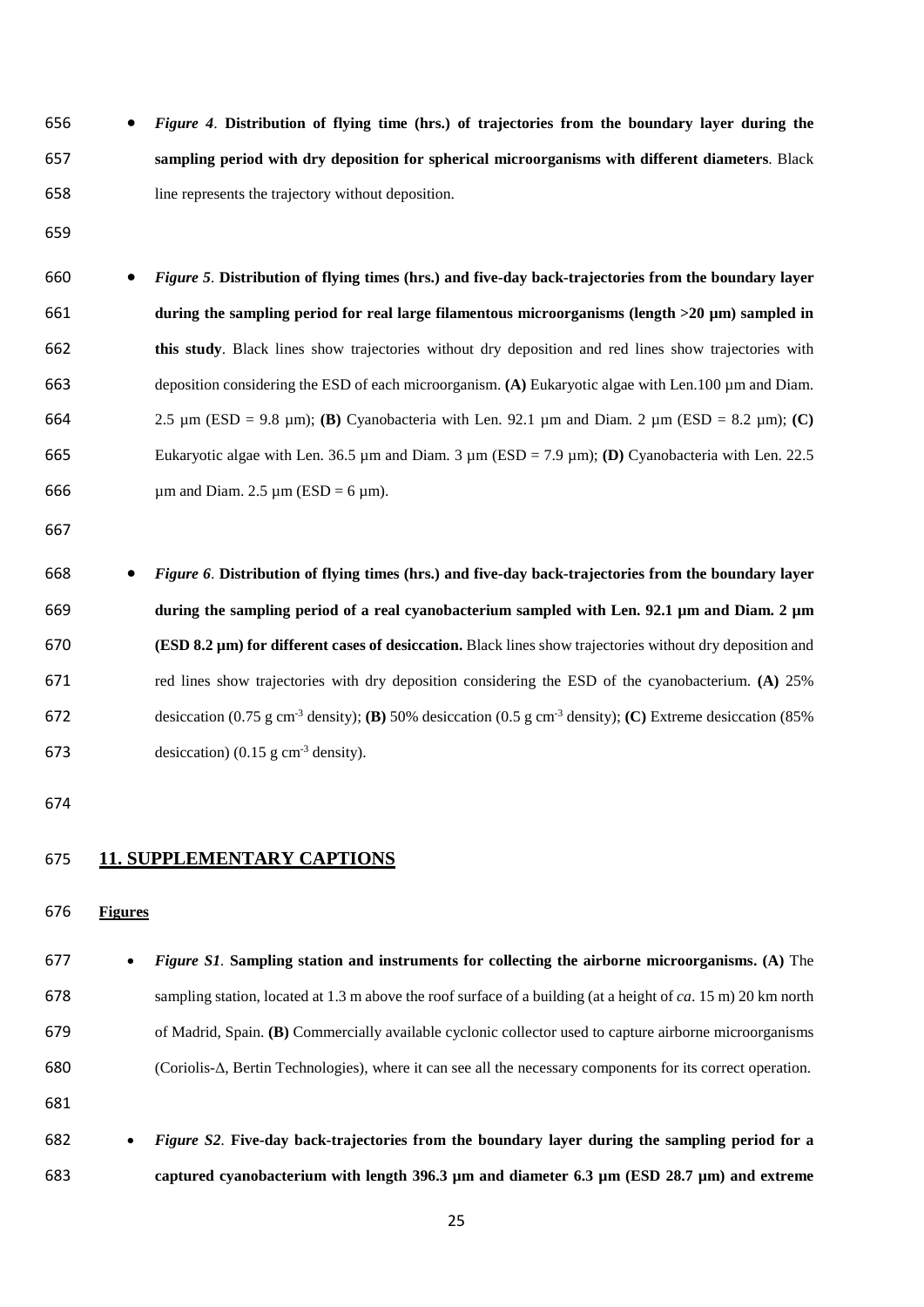• *Figure 4*. **Distribution of flying time (hrs.) of trajectories from the boundary layer during the sampling period with dry deposition for spherical microorganisms with different diameters**. Black line represents the trajectory without deposition.

- 
- *Figure 5*. **Distribution of flying times (hrs.) and five-day back-trajectories from the boundary layer during the sampling period for real large filamentous microorganisms (length >20 µm) sampled in this study**. Black lines show trajectories without dry deposition and red lines show trajectories with deposition considering the ESD of each microorganism. **(A)** Eukaryotic algae with Len.100 µm and Diam. 2.5 µm (ESD = 9.8 µm); **(B)** Cyanobacteria with Len. 92.1 µm and Diam. 2 µm (ESD = 8.2 µm); **(C)** Eukaryotic algae with Len. 36.5 µm and Diam. 3 µm (ESD = 7.9 µm); **(D)** Cyanobacteria with Len. 22.5 666  $\mu$ m and Diam. 2.5  $\mu$ m (ESD = 6  $\mu$ m).
- 

 • *Figure 6*. **Distribution of flying times (hrs.) and five-day back-trajectories from the boundary layer during the sampling period of a real cyanobacterium sampled with Len. 92.1 µm and Diam. 2 µm (ESD 8.2 µm) for different cases of desiccation.** Black lines show trajectories without dry deposition and red lines show trajectories with dry deposition considering the ESD of the cyanobacterium. **(A)** 25% desiccation (0.75 g cm-3 density); **(B)** 50% desiccation (0.5 g cm-3 density); **(C)** Extreme desiccation (85% 673 desiccation) (0.15 g cm<sup>-3</sup> density).

## **11. SUPPLEMENTARY CAPTIONS**

**Figures**

 • *Figure S1.* **Sampling station and instruments for collecting the airborne microorganisms. (A)** The sampling station, located at 1.3 m above the roof surface of a building (at a height of *ca*. 15 m) 20 km north of Madrid, Spain. **(B)** Commercially available cyclonic collector used to capture airborne microorganisms (Coriolis-Δ, Bertin Technologies), where it can see all the necessary components for its correct operation. 

 • *Figure S2.* **Five-day back-trajectories from the boundary layer during the sampling period for a captured cyanobacterium with length 396.3 µm and diameter 6.3 µm (ESD 28.7 µm) and extreme**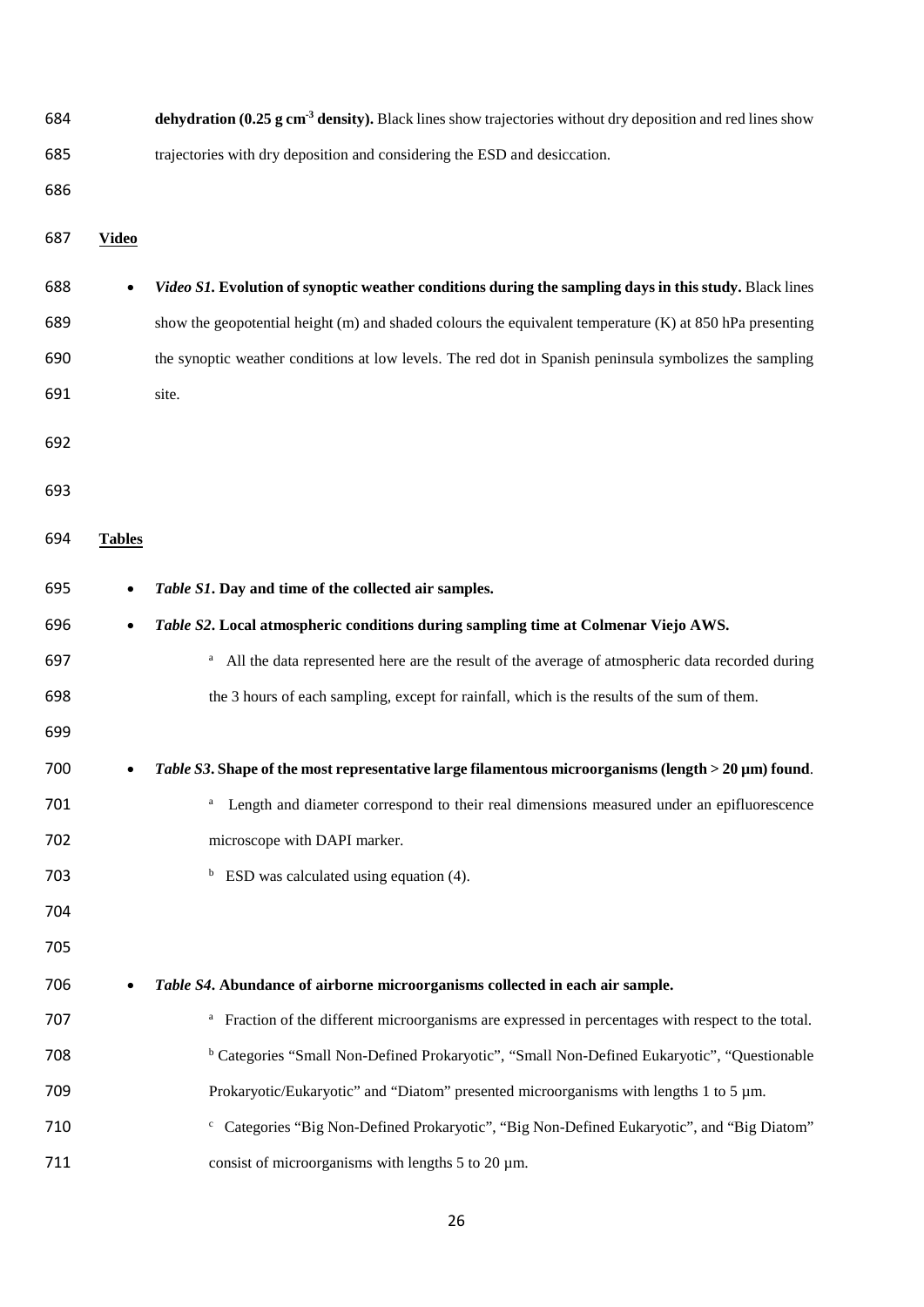| 684 |               | dehydration (0.25 g cm <sup>-3</sup> density). Black lines show trajectories without dry deposition and red lines show |
|-----|---------------|------------------------------------------------------------------------------------------------------------------------|
| 685 |               | trajectories with dry deposition and considering the ESD and desiccation.                                              |
| 686 |               |                                                                                                                        |
| 687 | <b>Video</b>  |                                                                                                                        |
| 688 | $\bullet$     | Video S1. Evolution of synoptic weather conditions during the sampling days in this study. Black lines                 |
| 689 |               | show the geopotential height (m) and shaded colours the equivalent temperature (K) at 850 hPa presenting               |
| 690 |               | the synoptic weather conditions at low levels. The red dot in Spanish peninsula symbolizes the sampling                |
| 691 |               | site.                                                                                                                  |
| 692 |               |                                                                                                                        |
|     |               |                                                                                                                        |
| 693 |               |                                                                                                                        |
| 694 | <b>Tables</b> |                                                                                                                        |
| 695 | $\bullet$     | Table S1. Day and time of the collected air samples.                                                                   |
| 696 | $\bullet$     | Table S2. Local atmospheric conditions during sampling time at Colmenar Viejo AWS.                                     |
| 697 |               | All the data represented here are the result of the average of atmospheric data recorded during<br>a                   |
| 698 |               | the 3 hours of each sampling, except for rainfall, which is the results of the sum of them.                            |
| 699 |               |                                                                                                                        |
| 700 | $\bullet$     | Table S3. Shape of the most representative large filamentous microorganisms (length > 20 µm) found.                    |
| 701 |               | Length and diameter correspond to their real dimensions measured under an epifluorescence                              |
| 702 |               | microscope with DAPI marker.                                                                                           |
| 703 |               | $b$ ESD was calculated using equation (4).                                                                             |
| 704 |               |                                                                                                                        |
| 705 |               |                                                                                                                        |
| 706 | $\bullet$     | Table S4. Abundance of airborne microorganisms collected in each air sample.                                           |
| 707 |               | <sup>a</sup> Fraction of the different microorganisms are expressed in percentages with respect to the total.          |
| 708 |               | <sup>b</sup> Categories "Small Non-Defined Prokaryotic", "Small Non-Defined Eukaryotic", "Questionable                 |
| 709 |               | Prokaryotic/Eukaryotic" and "Diatom" presented microorganisms with lengths 1 to 5 um.                                  |
| 710 |               | <sup>c</sup> Categories "Big Non-Defined Prokaryotic", "Big Non-Defined Eukaryotic", and "Big Diatom"                  |
| 711 |               | consist of microorganisms with lengths 5 to 20 $\mu$ m.                                                                |